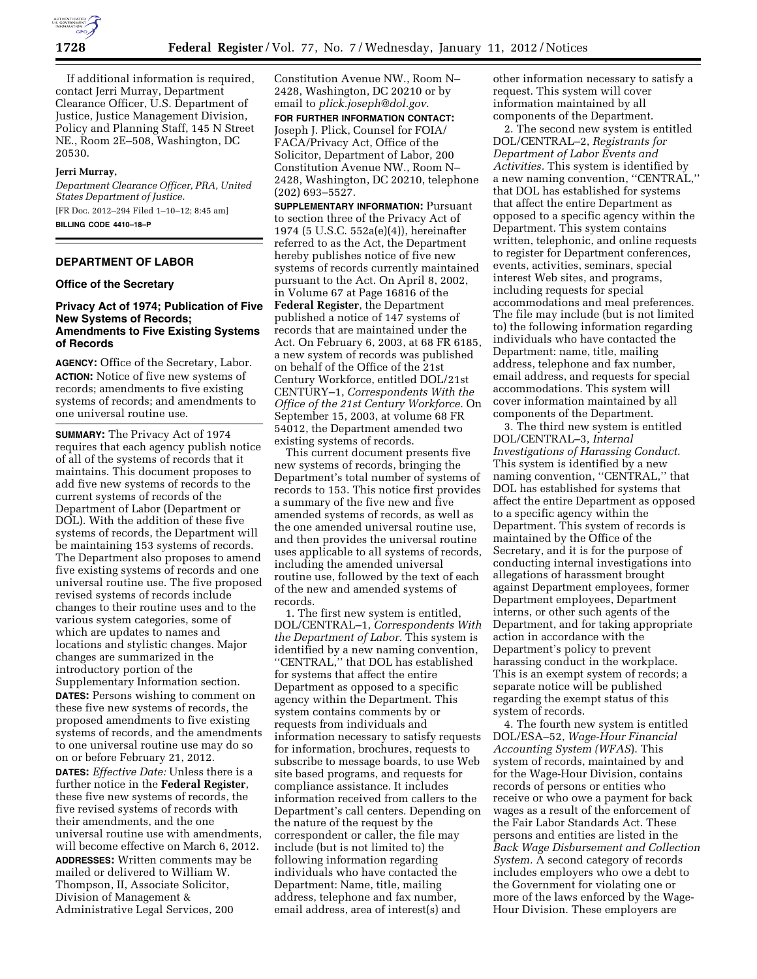

If additional information is required, contact Jerri Murray, Department Clearance Officer, U.S. Department of Justice, Justice Management Division, Policy and Planning Staff, 145 N Street NE., Room 2E–508, Washington, DC 20530.

### **Jerri Murray,**

*Department Clearance Officer, PRA, United States Department of Justice.*  [FR Doc. 2012–294 Filed 1–10–12; 8:45 am] **BILLING CODE 4410–18–P** 

## **DEPARTMENT OF LABOR**

## **Office of the Secretary**

### **Privacy Act of 1974; Publication of Five New Systems of Records; Amendments to Five Existing Systems of Records**

**AGENCY:** Office of the Secretary, Labor. **ACTION:** Notice of five new systems of records; amendments to five existing systems of records; and amendments to one universal routine use.

**SUMMARY:** The Privacy Act of 1974 requires that each agency publish notice of all of the systems of records that it maintains. This document proposes to add five new systems of records to the current systems of records of the Department of Labor (Department or DOL). With the addition of these five systems of records, the Department will be maintaining 153 systems of records. The Department also proposes to amend five existing systems of records and one universal routine use. The five proposed revised systems of records include changes to their routine uses and to the various system categories, some of which are updates to names and locations and stylistic changes. Major changes are summarized in the introductory portion of the Supplementary Information section.

**DATES:** Persons wishing to comment on these five new systems of records, the proposed amendments to five existing systems of records, and the amendments to one universal routine use may do so on or before February 21, 2012.

**DATES:** *Effective Date:* Unless there is a further notice in the **Federal Register**, these five new systems of records, the five revised systems of records with their amendments, and the one universal routine use with amendments, will become effective on March 6, 2012. **ADDRESSES:** Written comments may be mailed or delivered to William W. Thompson, II, Associate Solicitor, Division of Management & Administrative Legal Services, 200

Constitution Avenue NW., Room N– 2428, Washington, DC 20210 or by email to *[plick.joseph@dol.gov](mailto:plick.joseph@dol.gov)*.

**FOR FURTHER INFORMATION CONTACT:**  Joseph J. Plick, Counsel for FOIA/ FACA/Privacy Act, Office of the Solicitor, Department of Labor, 200 Constitution Avenue NW., Room N– 2428, Washington, DC 20210, telephone (202) 693–5527.

**SUPPLEMENTARY INFORMATION:** Pursuant to section three of the Privacy Act of 1974 (5 U.S.C. 552a(e)(4)), hereinafter referred to as the Act, the Department hereby publishes notice of five new systems of records currently maintained pursuant to the Act. On April 8, 2002, in Volume 67 at Page 16816 of the **Federal Register**, the Department published a notice of 147 systems of records that are maintained under the Act. On February 6, 2003, at 68 FR 6185, a new system of records was published on behalf of the Office of the 21st Century Workforce, entitled DOL/21st CENTURY–1, *Correspondents With the Office of the 21st Century Workforce.* On September 15, 2003, at volume 68 FR 54012, the Department amended two existing systems of records.

This current document presents five new systems of records, bringing the Department's total number of systems of records to 153. This notice first provides a summary of the five new and five amended systems of records, as well as the one amended universal routine use, and then provides the universal routine uses applicable to all systems of records, including the amended universal routine use, followed by the text of each of the new and amended systems of records.

1. The first new system is entitled, DOL/CENTRAL–1, *Correspondents With the Department of Labor.* This system is identified by a new naming convention, ''CENTRAL,'' that DOL has established for systems that affect the entire Department as opposed to a specific agency within the Department. This system contains comments by or requests from individuals and information necessary to satisfy requests for information, brochures, requests to subscribe to message boards, to use Web site based programs, and requests for compliance assistance. It includes information received from callers to the Department's call centers. Depending on the nature of the request by the correspondent or caller, the file may include (but is not limited to) the following information regarding individuals who have contacted the Department: Name, title, mailing address, telephone and fax number, email address, area of interest(s) and

other information necessary to satisfy a request. This system will cover information maintained by all components of the Department.

2. The second new system is entitled DOL/CENTRAL–2, *Registrants for Department of Labor Events and Activities.* This system is identified by a new naming convention, ''CENTRAL,'' that DOL has established for systems that affect the entire Department as opposed to a specific agency within the Department. This system contains written, telephonic, and online requests to register for Department conferences, events, activities, seminars, special interest Web sites, and programs, including requests for special accommodations and meal preferences. The file may include (but is not limited to) the following information regarding individuals who have contacted the Department: name, title, mailing address, telephone and fax number, email address, and requests for special accommodations. This system will cover information maintained by all components of the Department.

3. The third new system is entitled DOL/CENTRAL–3, *Internal Investigations of Harassing Conduct.*  This system is identified by a new naming convention, "CENTRAL," that DOL has established for systems that affect the entire Department as opposed to a specific agency within the Department. This system of records is maintained by the Office of the Secretary, and it is for the purpose of conducting internal investigations into allegations of harassment brought against Department employees, former Department employees, Department interns, or other such agents of the Department, and for taking appropriate action in accordance with the Department's policy to prevent harassing conduct in the workplace. This is an exempt system of records; a separate notice will be published regarding the exempt status of this system of records.

4. The fourth new system is entitled DOL/ESA–52, *Wage-Hour Financial Accounting System (WFAS*). This system of records, maintained by and for the Wage-Hour Division, contains records of persons or entities who receive or who owe a payment for back wages as a result of the enforcement of the Fair Labor Standards Act. These persons and entities are listed in the *Back Wage Disbursement and Collection System.* A second category of records includes employers who owe a debt to the Government for violating one or more of the laws enforced by the Wage-Hour Division. These employers are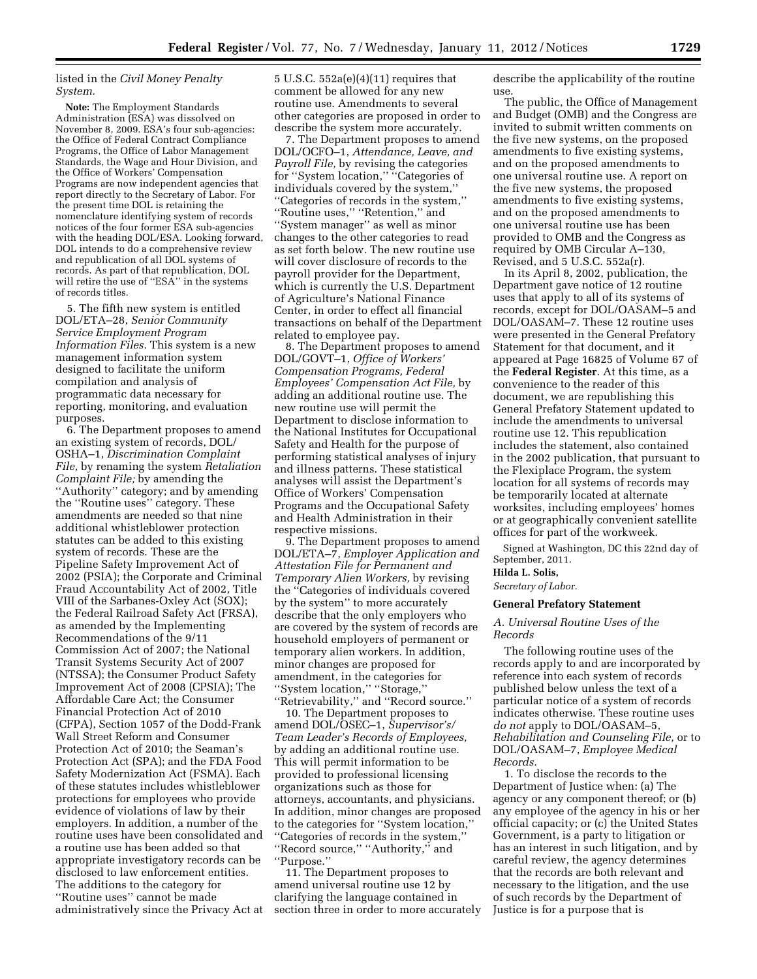### listed in the *Civil Money Penalty System.*

**Note:** The Employment Standards Administration (ESA) was dissolved on November 8, 2009. ESA's four sub-agencies: the Office of Federal Contract Compliance Programs, the Office of Labor Management Standards, the Wage and Hour Division, and the Office of Workers' Compensation Programs are now independent agencies that report directly to the Secretary of Labor. For the present time DOL is retaining the nomenclature identifying system of records notices of the four former ESA sub-agencies with the heading DOL/ESA. Looking forward, DOL intends to do a comprehensive review and republication of all DOL systems of records. As part of that republication, DOL will retire the use of "ESA" in the systems of records titles.

5. The fifth new system is entitled DOL/ETA–28, *Senior Community Service Employment Program Information Files.* This system is a new management information system designed to facilitate the uniform compilation and analysis of programmatic data necessary for reporting, monitoring, and evaluation purposes.

6. The Department proposes to amend an existing system of records, DOL/ OSHA–1, *Discrimination Complaint File,* by renaming the system *Retaliation Complaint File;* by amending the ''Authority'' category; and by amending the ''Routine uses'' category. These amendments are needed so that nine additional whistleblower protection statutes can be added to this existing system of records. These are the Pipeline Safety Improvement Act of 2002 (PSIA); the Corporate and Criminal Fraud Accountability Act of 2002, Title VIII of the Sarbanes-Oxley Act (SOX); the Federal Railroad Safety Act (FRSA), as amended by the Implementing Recommendations of the 9/11 Commission Act of 2007; the National Transit Systems Security Act of 2007 (NTSSA); the Consumer Product Safety Improvement Act of 2008 (CPSIA); The Affordable Care Act; the Consumer Financial Protection Act of 2010 (CFPA), Section 1057 of the Dodd-Frank Wall Street Reform and Consumer Protection Act of 2010; the Seaman's Protection Act (SPA); and the FDA Food Safety Modernization Act (FSMA). Each of these statutes includes whistleblower protections for employees who provide evidence of violations of law by their employers. In addition, a number of the routine uses have been consolidated and a routine use has been added so that appropriate investigatory records can be disclosed to law enforcement entities. The additions to the category for ''Routine uses'' cannot be made administratively since the Privacy Act at 5 U.S.C. 552a(e)(4)(11) requires that comment be allowed for any new routine use. Amendments to several other categories are proposed in order to describe the system more accurately.

7. The Department proposes to amend DOL/OCFO–1, *Attendance, Leave, and Payroll File,* by revising the categories for "System location," "Categories of individuals covered by the system,'' ''Categories of records in the system,'' ''Routine uses,'' ''Retention,'' and ''System manager'' as well as minor changes to the other categories to read as set forth below. The new routine use will cover disclosure of records to the payroll provider for the Department, which is currently the U.S. Department of Agriculture's National Finance Center, in order to effect all financial transactions on behalf of the Department related to employee pay.

8. The Department proposes to amend DOL/GOVT–1, *Office of Workers' Compensation Programs, Federal Employees' Compensation Act File,* by adding an additional routine use. The new routine use will permit the Department to disclose information to the National Institutes for Occupational Safety and Health for the purpose of performing statistical analyses of injury and illness patterns. These statistical analyses will assist the Department's Office of Workers' Compensation Programs and the Occupational Safety and Health Administration in their respective missions.

9. The Department proposes to amend DOL/ETA–7, *Employer Application and Attestation File for Permanent and Temporary Alien Workers,* by revising the ''Categories of individuals covered by the system'' to more accurately describe that the only employers who are covered by the system of records are household employers of permanent or temporary alien workers. In addition, minor changes are proposed for amendment, in the categories for ''System location,'' ''Storage,''

''Retrievability,'' and ''Record source.'' 10. The Department proposes to amend DOL/OSEC–1, *Supervisor's/ Team Leader's Records of Employees,*  by adding an additional routine use. This will permit information to be provided to professional licensing organizations such as those for attorneys, accountants, and physicians. In addition, minor changes are proposed to the categories for ''System location,'' ''Categories of records in the system,'' ''Record source,'' ''Authority,'' and ''Purpose.''

11. The Department proposes to amend universal routine use 12 by clarifying the language contained in section three in order to more accurately describe the applicability of the routine use.

The public, the Office of Management and Budget (OMB) and the Congress are invited to submit written comments on the five new systems, on the proposed amendments to five existing systems, and on the proposed amendments to one universal routine use. A report on the five new systems, the proposed amendments to five existing systems, and on the proposed amendments to one universal routine use has been provided to OMB and the Congress as required by OMB Circular A–130, Revised, and 5 U.S.C. 552a(r).

In its April 8, 2002, publication, the Department gave notice of 12 routine uses that apply to all of its systems of records, except for DOL/OASAM–5 and DOL/OASAM–7. These 12 routine uses were presented in the General Prefatory Statement for that document, and it appeared at Page 16825 of Volume 67 of the **Federal Register**. At this time, as a convenience to the reader of this document, we are republishing this General Prefatory Statement updated to include the amendments to universal routine use 12. This republication includes the statement, also contained in the 2002 publication, that pursuant to the Flexiplace Program, the system location for all systems of records may be temporarily located at alternate worksites, including employees' homes or at geographically convenient satellite offices for part of the workweek.

Signed at Washington, DC this 22nd day of September, 2011.

## **Hilda L. Solis,**

*Secretary of Labor.* 

### **General Prefatory Statement**

### *A. Universal Routine Uses of the Records*

The following routine uses of the records apply to and are incorporated by reference into each system of records published below unless the text of a particular notice of a system of records indicates otherwise. These routine uses *do not* apply to DOL/OASAM–5, *Rehabilitation and Counseling File,* or to DOL/OASAM–7, *Employee Medical Records.* 

1. To disclose the records to the Department of Justice when: (a) The agency or any component thereof; or (b) any employee of the agency in his or her official capacity; or (c) the United States Government, is a party to litigation or has an interest in such litigation, and by careful review, the agency determines that the records are both relevant and necessary to the litigation, and the use of such records by the Department of Justice is for a purpose that is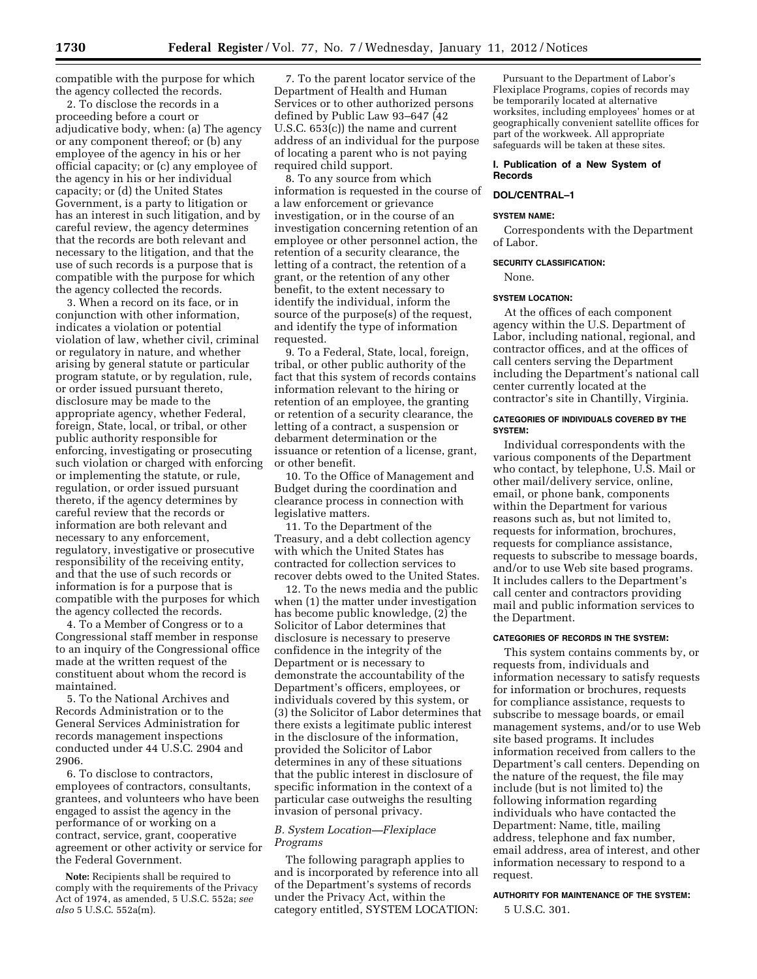compatible with the purpose for which the agency collected the records.

2. To disclose the records in a proceeding before a court or adjudicative body, when: (a) The agency or any component thereof; or (b) any employee of the agency in his or her official capacity; or (c) any employee of the agency in his or her individual capacity; or (d) the United States Government, is a party to litigation or has an interest in such litigation, and by careful review, the agency determines that the records are both relevant and necessary to the litigation, and that the use of such records is a purpose that is compatible with the purpose for which the agency collected the records.

3. When a record on its face, or in conjunction with other information, indicates a violation or potential violation of law, whether civil, criminal or regulatory in nature, and whether arising by general statute or particular program statute, or by regulation, rule, or order issued pursuant thereto, disclosure may be made to the appropriate agency, whether Federal, foreign, State, local, or tribal, or other public authority responsible for enforcing, investigating or prosecuting such violation or charged with enforcing or implementing the statute, or rule, regulation, or order issued pursuant thereto, if the agency determines by careful review that the records or information are both relevant and necessary to any enforcement, regulatory, investigative or prosecutive responsibility of the receiving entity, and that the use of such records or information is for a purpose that is compatible with the purposes for which the agency collected the records.

4. To a Member of Congress or to a Congressional staff member in response to an inquiry of the Congressional office made at the written request of the constituent about whom the record is maintained.

5. To the National Archives and Records Administration or to the General Services Administration for records management inspections conducted under 44 U.S.C. 2904 and 2906.

6. To disclose to contractors, employees of contractors, consultants, grantees, and volunteers who have been engaged to assist the agency in the performance of or working on a contract, service, grant, cooperative agreement or other activity or service for the Federal Government.

**Note:** Recipients shall be required to comply with the requirements of the Privacy Act of 1974, as amended, 5 U.S.C. 552a; *see also* 5 U.S.C. 552a(m).

7. To the parent locator service of the Department of Health and Human Services or to other authorized persons defined by Public Law 93–647 (42 U.S.C. 653(c)) the name and current address of an individual for the purpose of locating a parent who is not paying required child support.

8. To any source from which information is requested in the course of a law enforcement or grievance investigation, or in the course of an investigation concerning retention of an employee or other personnel action, the retention of a security clearance, the letting of a contract, the retention of a grant, or the retention of any other benefit, to the extent necessary to identify the individual, inform the source of the purpose(s) of the request, and identify the type of information requested.

9. To a Federal, State, local, foreign, tribal, or other public authority of the fact that this system of records contains information relevant to the hiring or retention of an employee, the granting or retention of a security clearance, the letting of a contract, a suspension or debarment determination or the issuance or retention of a license, grant, or other benefit.

10. To the Office of Management and Budget during the coordination and clearance process in connection with legislative matters.

11. To the Department of the Treasury, and a debt collection agency with which the United States has contracted for collection services to recover debts owed to the United States.

12. To the news media and the public when (1) the matter under investigation has become public knowledge, (2) the Solicitor of Labor determines that disclosure is necessary to preserve confidence in the integrity of the Department or is necessary to demonstrate the accountability of the Department's officers, employees, or individuals covered by this system, or (3) the Solicitor of Labor determines that there exists a legitimate public interest in the disclosure of the information, provided the Solicitor of Labor determines in any of these situations that the public interest in disclosure of specific information in the context of a particular case outweighs the resulting invasion of personal privacy.

## *B. System Location—Flexiplace Programs*

The following paragraph applies to and is incorporated by reference into all of the Department's systems of records under the Privacy Act, within the category entitled, SYSTEM LOCATION:

Pursuant to the Department of Labor's Flexiplace Programs, copies of records may be temporarily located at alternative worksites, including employees' homes or at geographically convenient satellite offices for part of the workweek. All appropriate safeguards will be taken at these sites.

### **I. Publication of a New System of Records**

## **DOL/CENTRAL–1**

### **SYSTEM NAME:**

Correspondents with the Department of Labor.

### **SECURITY CLASSIFICATION:**

None.

#### **SYSTEM LOCATION:**

At the offices of each component agency within the U.S. Department of Labor, including national, regional, and contractor offices, and at the offices of call centers serving the Department including the Department's national call center currently located at the contractor's site in Chantilly, Virginia.

### **CATEGORIES OF INDIVIDUALS COVERED BY THE SYSTEM:**

Individual correspondents with the various components of the Department who contact, by telephone, U.S. Mail or other mail/delivery service, online, email, or phone bank, components within the Department for various reasons such as, but not limited to, requests for information, brochures, requests for compliance assistance, requests to subscribe to message boards, and/or to use Web site based programs. It includes callers to the Department's call center and contractors providing mail and public information services to the Department.

### **CATEGORIES OF RECORDS IN THE SYSTEM:**

This system contains comments by, or requests from, individuals and information necessary to satisfy requests for information or brochures, requests for compliance assistance, requests to subscribe to message boards, or email management systems, and/or to use Web site based programs. It includes information received from callers to the Department's call centers. Depending on the nature of the request, the file may include (but is not limited to) the following information regarding individuals who have contacted the Department: Name, title, mailing address, telephone and fax number, email address, area of interest, and other information necessary to respond to a request.

## **AUTHORITY FOR MAINTENANCE OF THE SYSTEM:**  5 U.S.C. 301.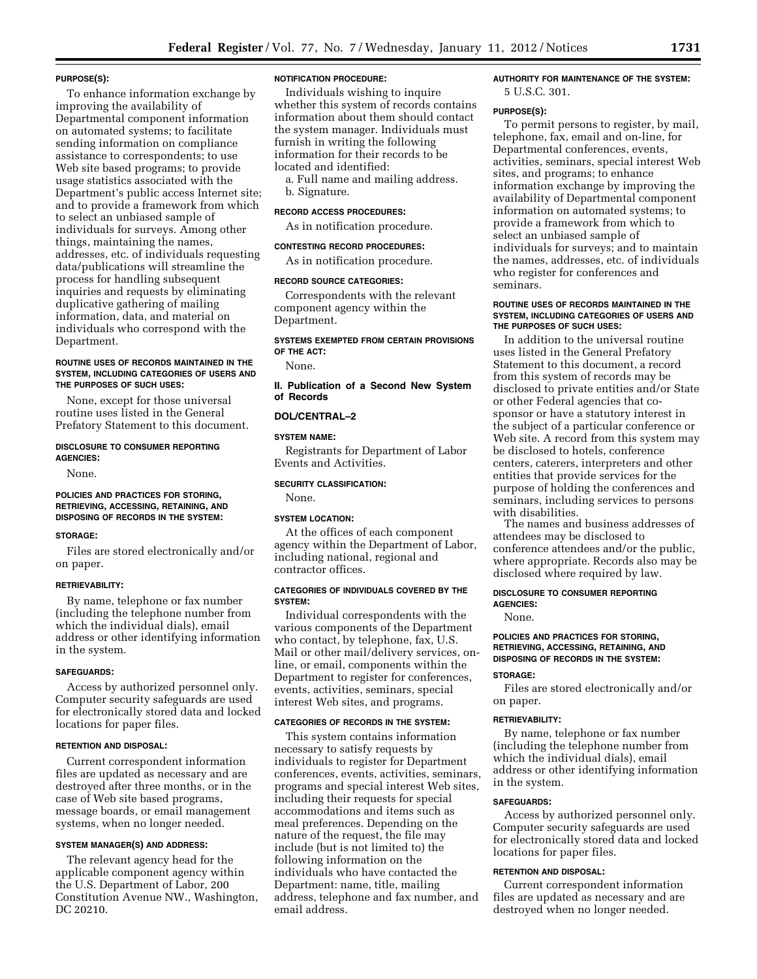#### **PURPOSE(S):**

To enhance information exchange by improving the availability of Departmental component information on automated systems; to facilitate sending information on compliance assistance to correspondents; to use Web site based programs; to provide usage statistics associated with the Department's public access Internet site; and to provide a framework from which to select an unbiased sample of individuals for surveys. Among other things, maintaining the names, addresses, etc. of individuals requesting data/publications will streamline the process for handling subsequent inquiries and requests by eliminating duplicative gathering of mailing information, data, and material on individuals who correspond with the Department.

### **ROUTINE USES OF RECORDS MAINTAINED IN THE SYSTEM, INCLUDING CATEGORIES OF USERS AND THE PURPOSES OF SUCH USES:**

None, except for those universal routine uses listed in the General Prefatory Statement to this document.

### **DISCLOSURE TO CONSUMER REPORTING AGENCIES:**

None.

#### **POLICIES AND PRACTICES FOR STORING, RETRIEVING, ACCESSING, RETAINING, AND DISPOSING OF RECORDS IN THE SYSTEM:**

### **STORAGE:**

Files are stored electronically and/or on paper.

#### **RETRIEVABILITY:**

By name, telephone or fax number (including the telephone number from which the individual dials), email address or other identifying information in the system.

### **SAFEGUARDS:**

Access by authorized personnel only. Computer security safeguards are used for electronically stored data and locked locations for paper files.

#### **RETENTION AND DISPOSAL:**

Current correspondent information files are updated as necessary and are destroyed after three months, or in the case of Web site based programs, message boards, or email management systems, when no longer needed.

#### **SYSTEM MANAGER(S) AND ADDRESS:**

The relevant agency head for the applicable component agency within the U.S. Department of Labor, 200 Constitution Avenue NW., Washington, DC 20210.

### **NOTIFICATION PROCEDURE:**

Individuals wishing to inquire whether this system of records contains information about them should contact the system manager. Individuals must furnish in writing the following information for their records to be located and identified:

a. Full name and mailing address. b. Signature.

### **RECORD ACCESS PROCEDURES:**

As in notification procedure.

#### **CONTESTING RECORD PROCEDURES:**

As in notification procedure.

#### **RECORD SOURCE CATEGORIES:**

Correspondents with the relevant component agency within the Department.

### **SYSTEMS EXEMPTED FROM CERTAIN PROVISIONS OF THE ACT:**

None.

**II. Publication of a Second New System of Records** 

#### **DOL/CENTRAL–2**

#### **SYSTEM NAME:**

Registrants for Department of Labor Events and Activities.

### **SECURITY CLASSIFICATION:**

None.

### **SYSTEM LOCATION:**

At the offices of each component agency within the Department of Labor, including national, regional and contractor offices.

### **CATEGORIES OF INDIVIDUALS COVERED BY THE SYSTEM:**

Individual correspondents with the various components of the Department who contact, by telephone, fax, U.S. Mail or other mail/delivery services, online, or email, components within the Department to register for conferences, events, activities, seminars, special interest Web sites, and programs.

#### **CATEGORIES OF RECORDS IN THE SYSTEM:**

This system contains information necessary to satisfy requests by individuals to register for Department conferences, events, activities, seminars, programs and special interest Web sites, including their requests for special accommodations and items such as meal preferences. Depending on the nature of the request, the file may include (but is not limited to) the following information on the individuals who have contacted the Department: name, title, mailing address, telephone and fax number, and email address.

### **AUTHORITY FOR MAINTENANCE OF THE SYSTEM:**  5 U.S.C. 301.

#### **PURPOSE(S):**

To permit persons to register, by mail, telephone, fax, email and on-line, for Departmental conferences, events, activities, seminars, special interest Web sites, and programs; to enhance information exchange by improving the availability of Departmental component information on automated systems; to provide a framework from which to select an unbiased sample of individuals for surveys; and to maintain the names, addresses, etc. of individuals who register for conferences and seminars.

### **ROUTINE USES OF RECORDS MAINTAINED IN THE SYSTEM, INCLUDING CATEGORIES OF USERS AND THE PURPOSES OF SUCH USES:**

In addition to the universal routine uses listed in the General Prefatory Statement to this document, a record from this system of records may be disclosed to private entities and/or State or other Federal agencies that cosponsor or have a statutory interest in the subject of a particular conference or Web site. A record from this system may be disclosed to hotels, conference centers, caterers, interpreters and other entities that provide services for the purpose of holding the conferences and seminars, including services to persons with disabilities.

The names and business addresses of attendees may be disclosed to conference attendees and/or the public, where appropriate. Records also may be disclosed where required by law.

#### **DISCLOSURE TO CONSUMER REPORTING AGENCIES:**

None.

### **POLICIES AND PRACTICES FOR STORING, RETRIEVING, ACCESSING, RETAINING, AND DISPOSING OF RECORDS IN THE SYSTEM:**

#### **STORAGE:**

Files are stored electronically and/or on paper.

#### **RETRIEVABILITY:**

By name, telephone or fax number (including the telephone number from which the individual dials), email address or other identifying information in the system.

#### **SAFEGUARDS:**

Access by authorized personnel only. Computer security safeguards are used for electronically stored data and locked locations for paper files.

## **RETENTION AND DISPOSAL:**

Current correspondent information files are updated as necessary and are destroyed when no longer needed.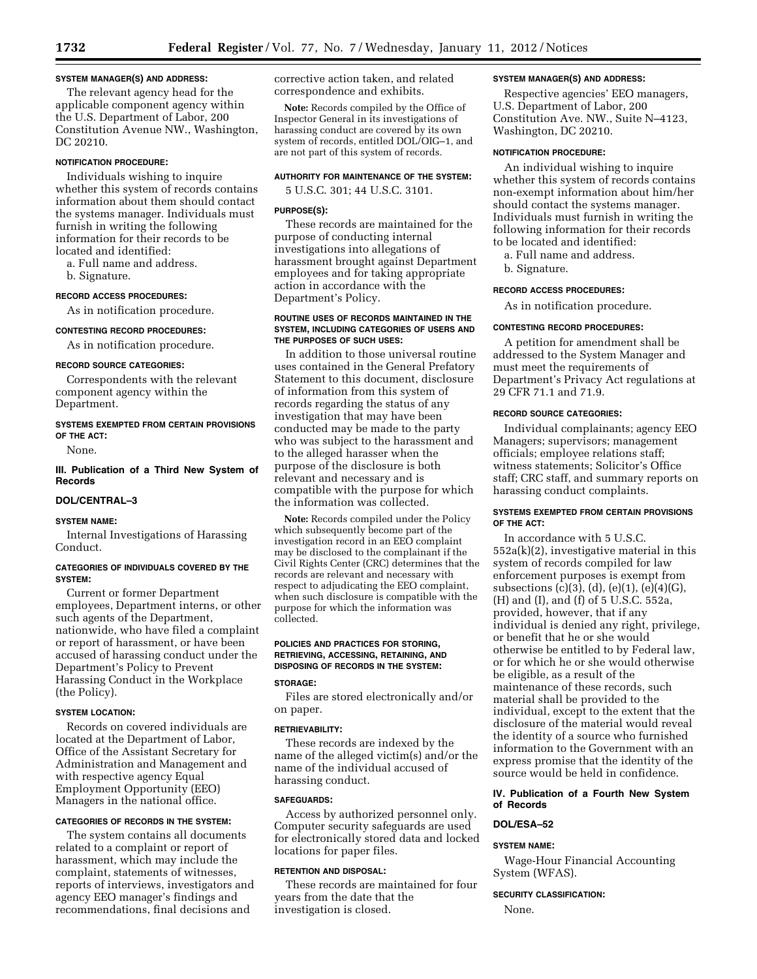### **SYSTEM MANAGER(S) AND ADDRESS:**

The relevant agency head for the applicable component agency within the U.S. Department of Labor, 200 Constitution Avenue NW., Washington, DC 20210.

### **NOTIFICATION PROCEDURE:**

Individuals wishing to inquire whether this system of records contains information about them should contact the systems manager. Individuals must furnish in writing the following information for their records to be located and identified:

a. Full name and address.

b. Signature.

#### **RECORD ACCESS PROCEDURES:**

As in notification procedure.

## **CONTESTING RECORD PROCEDURES:**

As in notification procedure.

### **RECORD SOURCE CATEGORIES:**

Correspondents with the relevant component agency within the Department.

#### **SYSTEMS EXEMPTED FROM CERTAIN PROVISIONS OF THE ACT:**

None.

## **III. Publication of a Third New System of Records**

### **DOL/CENTRAL–3**

#### **SYSTEM NAME:**

Internal Investigations of Harassing Conduct.

### **CATEGORIES OF INDIVIDUALS COVERED BY THE SYSTEM:**

Current or former Department employees, Department interns, or other such agents of the Department, nationwide, who have filed a complaint or report of harassment, or have been accused of harassing conduct under the Department's Policy to Prevent Harassing Conduct in the Workplace (the Policy).

## **SYSTEM LOCATION:**

Records on covered individuals are located at the Department of Labor, Office of the Assistant Secretary for Administration and Management and with respective agency Equal Employment Opportunity (EEO) Managers in the national office.

### **CATEGORIES OF RECORDS IN THE SYSTEM:**

The system contains all documents related to a complaint or report of harassment, which may include the complaint, statements of witnesses, reports of interviews, investigators and agency EEO manager's findings and recommendations, final decisions and

corrective action taken, and related correspondence and exhibits.

**Note:** Records compiled by the Office of Inspector General in its investigations of harassing conduct are covered by its own system of records, entitled DOL/OIG–1, and are not part of this system of records.

### **AUTHORITY FOR MAINTENANCE OF THE SYSTEM:**

5 U.S.C. 301; 44 U.S.C. 3101.

### **PURPOSE(S):**

These records are maintained for the purpose of conducting internal investigations into allegations of harassment brought against Department employees and for taking appropriate action in accordance with the Department's Policy.

### **ROUTINE USES OF RECORDS MAINTAINED IN THE SYSTEM, INCLUDING CATEGORIES OF USERS AND THE PURPOSES OF SUCH USES:**

In addition to those universal routine uses contained in the General Prefatory Statement to this document, disclosure of information from this system of records regarding the status of any investigation that may have been conducted may be made to the party who was subject to the harassment and to the alleged harasser when the purpose of the disclosure is both relevant and necessary and is compatible with the purpose for which the information was collected.

**Note:** Records compiled under the Policy which subsequently become part of the investigation record in an EEO complaint may be disclosed to the complainant if the Civil Rights Center (CRC) determines that the records are relevant and necessary with respect to adjudicating the EEO complaint, when such disclosure is compatible with the purpose for which the information was collected.

### **POLICIES AND PRACTICES FOR STORING, RETRIEVING, ACCESSING, RETAINING, AND DISPOSING OF RECORDS IN THE SYSTEM:**

#### **STORAGE:**

Files are stored electronically and/or on paper.

### **RETRIEVABILITY:**

These records are indexed by the name of the alleged victim(s) and/or the name of the individual accused of harassing conduct.

### **SAFEGUARDS:**

Access by authorized personnel only. Computer security safeguards are used for electronically stored data and locked locations for paper files.

### **RETENTION AND DISPOSAL:**

These records are maintained for four years from the date that the investigation is closed.

### **SYSTEM MANAGER(S) AND ADDRESS:**

Respective agencies' EEO managers, U.S. Department of Labor, 200 Constitution Ave. NW., Suite N–4123, Washington, DC 20210.

#### **NOTIFICATION PROCEDURE:**

An individual wishing to inquire whether this system of records contains non-exempt information about him/her should contact the systems manager. Individuals must furnish in writing the following information for their records to be located and identified:

a. Full name and address.

b. Signature.

### **RECORD ACCESS PROCEDURES:**

As in notification procedure.

### **CONTESTING RECORD PROCEDURES:**

A petition for amendment shall be addressed to the System Manager and must meet the requirements of Department's Privacy Act regulations at 29 CFR 71.1 and 71.9.

### **RECORD SOURCE CATEGORIES:**

Individual complainants; agency EEO Managers; supervisors; management officials; employee relations staff; witness statements; Solicitor's Office staff; CRC staff, and summary reports on harassing conduct complaints.

### **SYSTEMS EXEMPTED FROM CERTAIN PROVISIONS OF THE ACT:**

In accordance with 5 U.S.C. 552a(k)(2), investigative material in this system of records compiled for law enforcement purposes is exempt from subsections (c)(3), (d), (e)(1), (e)(4)(G), (H) and (I), and (f) of 5 U.S.C. 552a, provided, however, that if any individual is denied any right, privilege, or benefit that he or she would otherwise be entitled to by Federal law, or for which he or she would otherwise be eligible, as a result of the maintenance of these records, such material shall be provided to the individual, except to the extent that the disclosure of the material would reveal the identity of a source who furnished information to the Government with an express promise that the identity of the source would be held in confidence.

### **IV. Publication of a Fourth New System of Records**

# **DOL/ESA–52**

## **SYSTEM NAME:**

Wage-Hour Financial Accounting System (WFAS).

## **SECURITY CLASSIFICATION:**

None.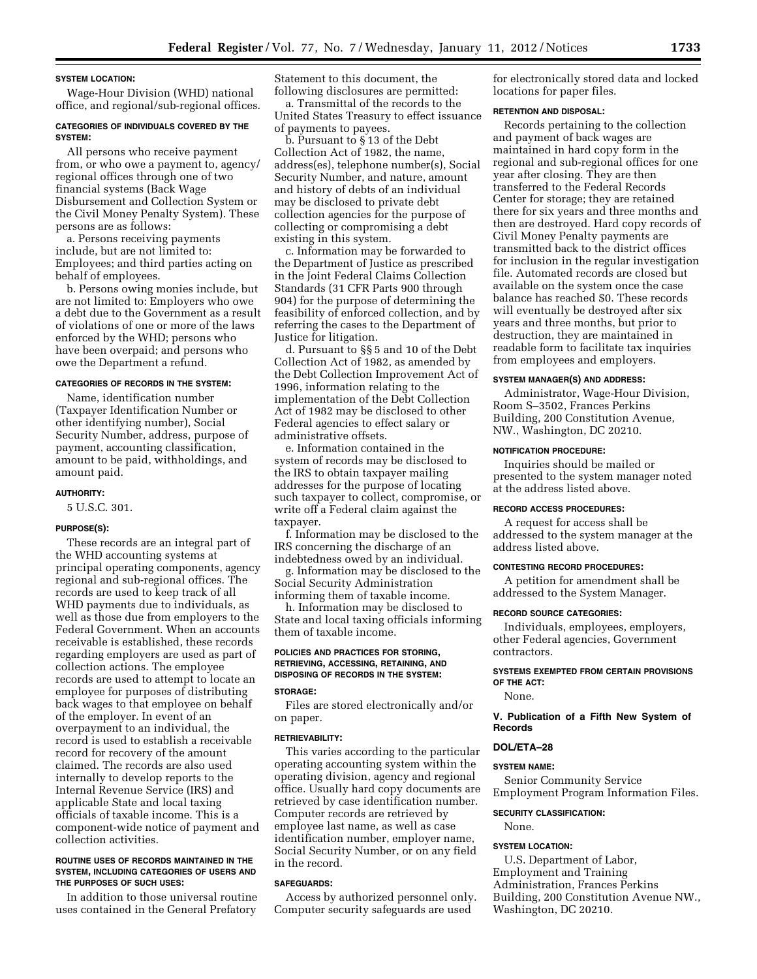#### **SYSTEM LOCATION:**

Wage-Hour Division (WHD) national office, and regional/sub-regional offices.

### **CATEGORIES OF INDIVIDUALS COVERED BY THE SYSTEM:**

All persons who receive payment from, or who owe a payment to, agency/ regional offices through one of two financial systems (Back Wage Disbursement and Collection System or the Civil Money Penalty System). These persons are as follows:

a. Persons receiving payments include, but are not limited to: Employees; and third parties acting on behalf of employees.

b. Persons owing monies include, but are not limited to: Employers who owe a debt due to the Government as a result of violations of one or more of the laws enforced by the WHD; persons who have been overpaid; and persons who owe the Department a refund.

#### **CATEGORIES OF RECORDS IN THE SYSTEM:**

Name, identification number (Taxpayer Identification Number or other identifying number), Social Security Number, address, purpose of payment, accounting classification, amount to be paid, withholdings, and amount paid.

#### **AUTHORITY:**

5 U.S.C. 301.

#### **PURPOSE(S):**

These records are an integral part of the WHD accounting systems at principal operating components, agency regional and sub-regional offices. The records are used to keep track of all WHD payments due to individuals, as well as those due from employers to the Federal Government. When an accounts receivable is established, these records regarding employers are used as part of collection actions. The employee records are used to attempt to locate an employee for purposes of distributing back wages to that employee on behalf of the employer. In event of an overpayment to an individual, the record is used to establish a receivable record for recovery of the amount claimed. The records are also used internally to develop reports to the Internal Revenue Service (IRS) and applicable State and local taxing officials of taxable income. This is a component-wide notice of payment and collection activities.

#### **ROUTINE USES OF RECORDS MAINTAINED IN THE SYSTEM, INCLUDING CATEGORIES OF USERS AND THE PURPOSES OF SUCH USES:**

In addition to those universal routine uses contained in the General Prefatory

Statement to this document, the following disclosures are permitted:

a. Transmittal of the records to the United States Treasury to effect issuance of payments to payees.

b. Pursuant to § 13 of the Debt Collection Act of 1982, the name, address(es), telephone number(s), Social Security Number, and nature, amount and history of debts of an individual may be disclosed to private debt collection agencies for the purpose of collecting or compromising a debt existing in this system.

c. Information may be forwarded to the Department of Justice as prescribed in the Joint Federal Claims Collection Standards (31 CFR Parts 900 through 904) for the purpose of determining the feasibility of enforced collection, and by referring the cases to the Department of Justice for litigation.

d. Pursuant to §§ 5 and 10 of the Debt Collection Act of 1982, as amended by the Debt Collection Improvement Act of 1996, information relating to the implementation of the Debt Collection Act of 1982 may be disclosed to other Federal agencies to effect salary or administrative offsets.

e. Information contained in the system of records may be disclosed to the IRS to obtain taxpayer mailing addresses for the purpose of locating such taxpayer to collect, compromise, or write off a Federal claim against the taxpayer.

f. Information may be disclosed to the IRS concerning the discharge of an indebtedness owed by an individual.

g. Information may be disclosed to the Social Security Administration informing them of taxable income.

h. Information may be disclosed to State and local taxing officials informing them of taxable income.

## **POLICIES AND PRACTICES FOR STORING, RETRIEVING, ACCESSING, RETAINING, AND DISPOSING OF RECORDS IN THE SYSTEM:**

## **STORAGE:**

Files are stored electronically and/or on paper.

#### **RETRIEVABILITY:**

This varies according to the particular operating accounting system within the operating division, agency and regional office. Usually hard copy documents are retrieved by case identification number. Computer records are retrieved by employee last name, as well as case identification number, employer name, Social Security Number, or on any field in the record.

#### **SAFEGUARDS:**

Access by authorized personnel only. Computer security safeguards are used

for electronically stored data and locked locations for paper files.

#### **RETENTION AND DISPOSAL:**

Records pertaining to the collection and payment of back wages are maintained in hard copy form in the regional and sub-regional offices for one year after closing. They are then transferred to the Federal Records Center for storage; they are retained there for six years and three months and then are destroyed. Hard copy records of Civil Money Penalty payments are transmitted back to the district offices for inclusion in the regular investigation file. Automated records are closed but available on the system once the case balance has reached \$0. These records will eventually be destroyed after six years and three months, but prior to destruction, they are maintained in readable form to facilitate tax inquiries from employees and employers.

### **SYSTEM MANAGER(S) AND ADDRESS:**

Administrator, Wage-Hour Division, Room S–3502, Frances Perkins Building, 200 Constitution Avenue, NW., Washington, DC 20210.

### **NOTIFICATION PROCEDURE:**

Inquiries should be mailed or presented to the system manager noted at the address listed above.

#### **RECORD ACCESS PROCEDURES:**

A request for access shall be addressed to the system manager at the address listed above.

#### **CONTESTING RECORD PROCEDURES:**

A petition for amendment shall be addressed to the System Manager.

#### **RECORD SOURCE CATEGORIES:**

Individuals, employees, employers, other Federal agencies, Government contractors.

### **SYSTEMS EXEMPTED FROM CERTAIN PROVISIONS OF THE ACT:**

None.

**V. Publication of a Fifth New System of Records** 

### **DOL/ETA–28**

#### **SYSTEM NAME:**

Senior Community Service Employment Program Information Files.

#### **SECURITY CLASSIFICATION:**

None.

#### **SYSTEM LOCATION:**

U.S. Department of Labor, Employment and Training Administration, Frances Perkins Building, 200 Constitution Avenue NW., Washington, DC 20210.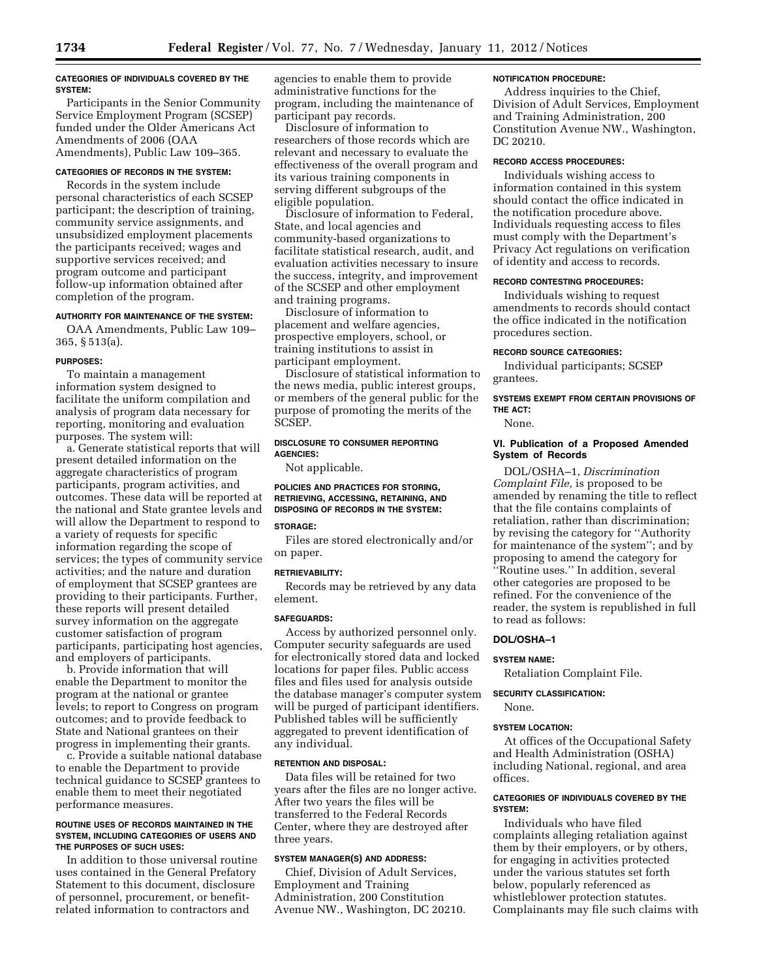### **CATEGORIES OF INDIVIDUALS COVERED BY THE SYSTEM:**

Participants in the Senior Community Service Employment Program (SCSEP) funded under the Older Americans Act Amendments of 2006 (OAA Amendments), Public Law 109–365.

### **CATEGORIES OF RECORDS IN THE SYSTEM:**

Records in the system include personal characteristics of each SCSEP participant; the description of training, community service assignments, and unsubsidized employment placements the participants received; wages and supportive services received; and program outcome and participant follow-up information obtained after completion of the program.

### **AUTHORITY FOR MAINTENANCE OF THE SYSTEM:**

OAA Amendments, Public Law 109– 365, § 513(a).

### **PURPOSES:**

To maintain a management information system designed to facilitate the uniform compilation and analysis of program data necessary for reporting, monitoring and evaluation purposes. The system will:

a. Generate statistical reports that will present detailed information on the aggregate characteristics of program participants, program activities, and outcomes. These data will be reported at the national and State grantee levels and will allow the Department to respond to a variety of requests for specific information regarding the scope of services; the types of community service activities; and the nature and duration of employment that SCSEP grantees are providing to their participants. Further, these reports will present detailed survey information on the aggregate customer satisfaction of program participants, participating host agencies, and employers of participants.

b. Provide information that will enable the Department to monitor the program at the national or grantee levels; to report to Congress on program outcomes; and to provide feedback to State and National grantees on their progress in implementing their grants.

c. Provide a suitable national database to enable the Department to provide technical guidance to SCSEP grantees to enable them to meet their negotiated performance measures.

#### **ROUTINE USES OF RECORDS MAINTAINED IN THE SYSTEM, INCLUDING CATEGORIES OF USERS AND THE PURPOSES OF SUCH USES:**

In addition to those universal routine uses contained in the General Prefatory Statement to this document, disclosure of personnel, procurement, or benefitrelated information to contractors and

agencies to enable them to provide administrative functions for the program, including the maintenance of participant pay records.

Disclosure of information to researchers of those records which are relevant and necessary to evaluate the effectiveness of the overall program and its various training components in serving different subgroups of the eligible population.

Disclosure of information to Federal, State, and local agencies and community-based organizations to facilitate statistical research, audit, and evaluation activities necessary to insure the success, integrity, and improvement of the SCSEP and other employment and training programs.

Disclosure of information to placement and welfare agencies, prospective employers, school, or training institutions to assist in participant employment.

Disclosure of statistical information to the news media, public interest groups, or members of the general public for the purpose of promoting the merits of the SCSEP.

### **DISCLOSURE TO CONSUMER REPORTING AGENCIES:**

Not applicable.

## **POLICIES AND PRACTICES FOR STORING, RETRIEVING, ACCESSING, RETAINING, AND DISPOSING OF RECORDS IN THE SYSTEM:**

### **STORAGE:**

Files are stored electronically and/or on paper.

### **RETRIEVABILITY:**

Records may be retrieved by any data element.

### **SAFEGUARDS:**

Access by authorized personnel only. Computer security safeguards are used for electronically stored data and locked locations for paper files. Public access files and files used for analysis outside the database manager's computer system will be purged of participant identifiers. Published tables will be sufficiently aggregated to prevent identification of any individual.

### **RETENTION AND DISPOSAL:**

Data files will be retained for two years after the files are no longer active. After two years the files will be transferred to the Federal Records Center, where they are destroyed after three years.

### **SYSTEM MANAGER(S) AND ADDRESS:**

Chief, Division of Adult Services, Employment and Training Administration, 200 Constitution Avenue NW., Washington, DC 20210.

### **NOTIFICATION PROCEDURE:**

Address inquiries to the Chief, Division of Adult Services, Employment and Training Administration, 200 Constitution Avenue NW., Washington, DC 20210.

### **RECORD ACCESS PROCEDURES:**

Individuals wishing access to information contained in this system should contact the office indicated in the notification procedure above. Individuals requesting access to files must comply with the Department's Privacy Act regulations on verification of identity and access to records.

### **RECORD CONTESTING PROCEDURES:**

Individuals wishing to request amendments to records should contact the office indicated in the notification procedures section.

#### **RECORD SOURCE CATEGORIES:**

Individual participants; SCSEP grantees.

## **SYSTEMS EXEMPT FROM CERTAIN PROVISIONS OF THE ACT:**

None.

### **VI. Publication of a Proposed Amended System of Records**

DOL/OSHA–1, *Discrimination Complaint File,* is proposed to be amended by renaming the title to reflect that the file contains complaints of retaliation, rather than discrimination; by revising the category for ''Authority for maintenance of the system''; and by proposing to amend the category for ''Routine uses.'' In addition, several other categories are proposed to be refined. For the convenience of the reader, the system is republished in full to read as follows:

### **DOL/OSHA–1**

### **SYSTEM NAME:**

Retaliation Complaint File.

### **SECURITY CLASSIFICATION:**

None.

### **SYSTEM LOCATION:**

At offices of the Occupational Safety and Health Administration (OSHA) including National, regional, and area offices.

### **CATEGORIES OF INDIVIDUALS COVERED BY THE SYSTEM:**

Individuals who have filed complaints alleging retaliation against them by their employers, or by others, for engaging in activities protected under the various statutes set forth below, popularly referenced as whistleblower protection statutes. Complainants may file such claims with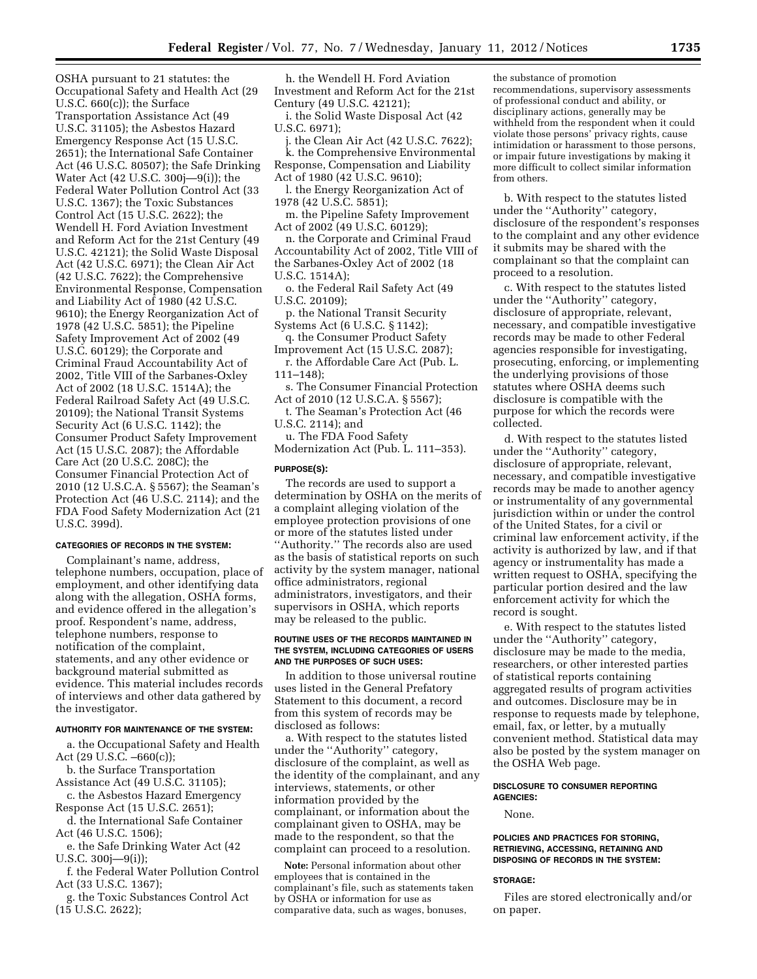OSHA pursuant to 21 statutes: the Occupational Safety and Health Act (29 U.S.C. 660(c)); the Surface Transportation Assistance Act (49 U.S.C. 31105); the Asbestos Hazard Emergency Response Act (15 U.S.C. 2651); the International Safe Container Act (46 U.S.C. 80507); the Safe Drinking Water Act (42 U.S.C. 300j—9(i)); the Federal Water Pollution Control Act (33 U.S.C. 1367); the Toxic Substances Control Act (15 U.S.C. 2622); the Wendell H. Ford Aviation Investment and Reform Act for the 21st Century (49 U.S.C. 42121); the Solid Waste Disposal Act (42 U.S.C. 6971); the Clean Air Act (42 U.S.C. 7622); the Comprehensive Environmental Response, Compensation and Liability Act of 1980 (42 U.S.C. 9610); the Energy Reorganization Act of 1978 (42 U.S.C. 5851); the Pipeline Safety Improvement Act of 2002 (49 U.S.C. 60129); the Corporate and Criminal Fraud Accountability Act of 2002, Title VIII of the Sarbanes-Oxley Act of 2002 (18 U.S.C. 1514A); the Federal Railroad Safety Act (49 U.S.C. 20109); the National Transit Systems Security Act (6 U.S.C. 1142); the Consumer Product Safety Improvement Act (15 U.S.C. 2087); the Affordable Care Act (20 U.S.C. 208C); the Consumer Financial Protection Act of 2010 (12 U.S.C.A. § 5567); the Seaman's Protection Act (46 U.S.C. 2114); and the FDA Food Safety Modernization Act (21 U.S.C. 399d).

## **CATEGORIES OF RECORDS IN THE SYSTEM:**

Complainant's name, address, telephone numbers, occupation, place of employment, and other identifying data along with the allegation, OSHA forms, and evidence offered in the allegation's proof. Respondent's name, address, telephone numbers, response to notification of the complaint, statements, and any other evidence or background material submitted as evidence. This material includes records of interviews and other data gathered by the investigator.

#### **AUTHORITY FOR MAINTENANCE OF THE SYSTEM:**

a. the Occupational Safety and Health Act (29 U.S.C. –660(c));

- b. the Surface Transportation Assistance Act (49 U.S.C. 31105);
- c. the Asbestos Hazard Emergency Response Act (15 U.S.C. 2651);

d. the International Safe Container Act (46 U.S.C. 1506);

e. the Safe Drinking Water Act (42 U.S.C. 300j—9(i));

f. the Federal Water Pollution Control Act (33 U.S.C. 1367);

g. the Toxic Substances Control Act (15 U.S.C. 2622);

h. the Wendell H. Ford Aviation Investment and Reform Act for the 21st Century (49 U.S.C. 42121);

i. the Solid Waste Disposal Act (42 U.S.C. 6971);

j. the Clean Air Act (42 U.S.C. 7622); k. the Comprehensive Environmental Response, Compensation and Liability Act of 1980 (42 U.S.C. 9610);

l. the Energy Reorganization Act of 1978 (42 U.S.C. 5851);

m. the Pipeline Safety Improvement Act of 2002 (49 U.S.C. 60129);

n. the Corporate and Criminal Fraud Accountability Act of 2002, Title VIII of the Sarbanes-Oxley Act of 2002 (18 U.S.C. 1514A);

o. the Federal Rail Safety Act (49 U.S.C. 20109);

p. the National Transit Security Systems Act (6 U.S.C. § 1142); q. the Consumer Product Safety

Improvement Act (15 U.S.C. 2087); r. the Affordable Care Act (Pub. L.

111–148);

s. The Consumer Financial Protection Act of 2010 (12 U.S.C.A. § 5567);

t. The Seaman's Protection Act (46 U.S.C. 2114); and

u. The FDA Food Safety Modernization Act (Pub. L. 111–353).

#### **PURPOSE(S):**

The records are used to support a determination by OSHA on the merits of a complaint alleging violation of the employee protection provisions of one or more of the statutes listed under ''Authority.'' The records also are used as the basis of statistical reports on such activity by the system manager, national office administrators, regional administrators, investigators, and their supervisors in OSHA, which reports may be released to the public.

#### **ROUTINE USES OF THE RECORDS MAINTAINED IN THE SYSTEM, INCLUDING CATEGORIES OF USERS AND THE PURPOSES OF SUCH USES:**

In addition to those universal routine uses listed in the General Prefatory Statement to this document, a record from this system of records may be disclosed as follows:

a. With respect to the statutes listed under the ''Authority'' category, disclosure of the complaint, as well as the identity of the complainant, and any interviews, statements, or other information provided by the complainant, or information about the complainant given to OSHA, may be made to the respondent, so that the complaint can proceed to a resolution.

**Note:** Personal information about other employees that is contained in the complainant's file, such as statements taken by OSHA or information for use as comparative data, such as wages, bonuses,

the substance of promotion recommendations, supervisory assessments of professional conduct and ability, or disciplinary actions, generally may be withheld from the respondent when it could violate those persons' privacy rights, cause intimidation or harassment to those persons, or impair future investigations by making it more difficult to collect similar information from others.

b. With respect to the statutes listed under the ''Authority'' category, disclosure of the respondent's responses to the complaint and any other evidence it submits may be shared with the complainant so that the complaint can proceed to a resolution.

c. With respect to the statutes listed under the ''Authority'' category, disclosure of appropriate, relevant, necessary, and compatible investigative records may be made to other Federal agencies responsible for investigating, prosecuting, enforcing, or implementing the underlying provisions of those statutes where OSHA deems such disclosure is compatible with the purpose for which the records were collected.

d. With respect to the statutes listed under the ''Authority'' category, disclosure of appropriate, relevant, necessary, and compatible investigative records may be made to another agency or instrumentality of any governmental jurisdiction within or under the control of the United States, for a civil or criminal law enforcement activity, if the activity is authorized by law, and if that agency or instrumentality has made a written request to OSHA, specifying the particular portion desired and the law enforcement activity for which the record is sought.

e. With respect to the statutes listed under the ''Authority'' category, disclosure may be made to the media, researchers, or other interested parties of statistical reports containing aggregated results of program activities and outcomes. Disclosure may be in response to requests made by telephone, email, fax, or letter, by a mutually convenient method. Statistical data may also be posted by the system manager on the OSHA Web page.

### **DISCLOSURE TO CONSUMER REPORTING AGENCIES:**

None.

#### **POLICIES AND PRACTICES FOR STORING, RETRIEVING, ACCESSING, RETAINING AND DISPOSING OF RECORDS IN THE SYSTEM:**

#### **STORAGE:**

Files are stored electronically and/or on paper.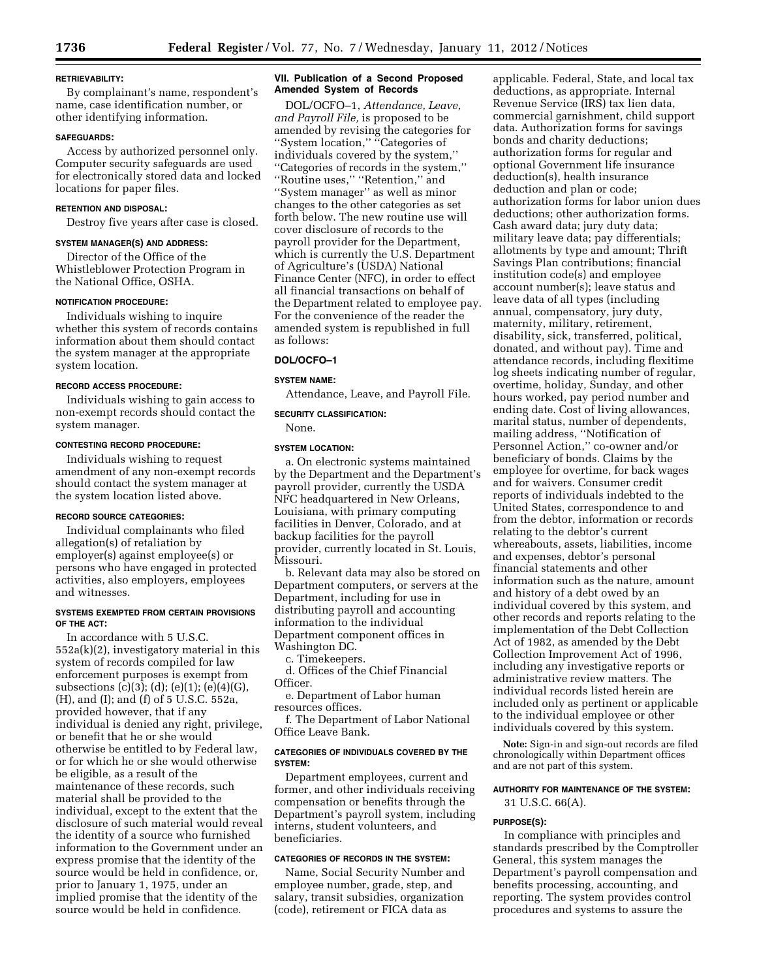#### **RETRIEVABILITY:**

By complainant's name, respondent's name, case identification number, or other identifying information.

### **SAFEGUARDS:**

Access by authorized personnel only. Computer security safeguards are used for electronically stored data and locked locations for paper files.

### **RETENTION AND DISPOSAL:**

Destroy five years after case is closed.

## **SYSTEM MANAGER(S) AND ADDRESS:**

Director of the Office of the Whistleblower Protection Program in the National Office, OSHA.

#### **NOTIFICATION PROCEDURE:**

Individuals wishing to inquire whether this system of records contains information about them should contact the system manager at the appropriate system location.

## **RECORD ACCESS PROCEDURE:**

Individuals wishing to gain access to non-exempt records should contact the system manager.

### **CONTESTING RECORD PROCEDURE:**

Individuals wishing to request amendment of any non-exempt records should contact the system manager at the system location listed above.

### **RECORD SOURCE CATEGORIES:**

Individual complainants who filed allegation(s) of retaliation by employer(s) against employee(s) or persons who have engaged in protected activities, also employers, employees and witnesses.

### **SYSTEMS EXEMPTED FROM CERTAIN PROVISIONS OF THE ACT:**

In accordance with 5 U.S.C. 552a(k)(2), investigatory material in this system of records compiled for law enforcement purposes is exempt from subsections (c)(3); (d); (e)(1); (e)(4)(G), (H), and (I); and (f) of 5 U.S.C. 552a, provided however, that if any individual is denied any right, privilege, or benefit that he or she would otherwise be entitled to by Federal law, or for which he or she would otherwise be eligible, as a result of the maintenance of these records, such material shall be provided to the individual, except to the extent that the disclosure of such material would reveal the identity of a source who furnished information to the Government under an express promise that the identity of the source would be held in confidence, or, prior to January 1, 1975, under an implied promise that the identity of the source would be held in confidence.

### **VII. Publication of a Second Proposed Amended System of Records**

DOL/OCFO–1, *Attendance, Leave, and Payroll File,* is proposed to be amended by revising the categories for ''System location,'' ''Categories of individuals covered by the system,'' ''Categories of records in the system,'' ''Routine uses,'' ''Retention,'' and ''System manager'' as well as minor changes to the other categories as set forth below. The new routine use will cover disclosure of records to the payroll provider for the Department, which is currently the U.S. Department of Agriculture's (USDA) National Finance Center (NFC), in order to effect all financial transactions on behalf of the Department related to employee pay. For the convenience of the reader the amended system is republished in full as follows:

### **DOL/OCFO–1**

#### **SYSTEM NAME:**

Attendance, Leave, and Payroll File.

#### **SECURITY CLASSIFICATION:**

None.

#### **SYSTEM LOCATION:**

a. On electronic systems maintained by the Department and the Department's payroll provider, currently the USDA NFC headquartered in New Orleans, Louisiana, with primary computing facilities in Denver, Colorado, and at backup facilities for the payroll provider, currently located in St. Louis, Missouri.

b. Relevant data may also be stored on Department computers, or servers at the Department, including for use in distributing payroll and accounting information to the individual Department component offices in Washington DC.

c. Timekeepers.

d. Offices of the Chief Financial Officer.

e. Department of Labor human resources offices.

f. The Department of Labor National Office Leave Bank.

### **CATEGORIES OF INDIVIDUALS COVERED BY THE SYSTEM:**

Department employees, current and former, and other individuals receiving compensation or benefits through the Department's payroll system, including interns, student volunteers, and beneficiaries.

## **CATEGORIES OF RECORDS IN THE SYSTEM:**

Name, Social Security Number and employee number, grade, step, and salary, transit subsidies, organization (code), retirement or FICA data as

applicable. Federal, State, and local tax deductions, as appropriate. Internal Revenue Service (IRS) tax lien data, commercial garnishment, child support data. Authorization forms for savings bonds and charity deductions; authorization forms for regular and optional Government life insurance deduction(s), health insurance deduction and plan or code; authorization forms for labor union dues deductions; other authorization forms. Cash award data; jury duty data; military leave data; pay differentials; allotments by type and amount; Thrift Savings Plan contributions; financial institution code(s) and employee account number(s); leave status and leave data of all types (including annual, compensatory, jury duty, maternity, military, retirement, disability, sick, transferred, political, donated, and without pay). Time and attendance records, including flexitime log sheets indicating number of regular, overtime, holiday, Sunday, and other hours worked, pay period number and ending date. Cost of living allowances, marital status, number of dependents, mailing address, ''Notification of Personnel Action,'' co-owner and/or beneficiary of bonds. Claims by the employee for overtime, for back wages and for waivers. Consumer credit reports of individuals indebted to the United States, correspondence to and from the debtor, information or records relating to the debtor's current whereabouts, assets, liabilities, income and expenses, debtor's personal financial statements and other information such as the nature, amount and history of a debt owed by an individual covered by this system, and other records and reports relating to the implementation of the Debt Collection Act of 1982, as amended by the Debt Collection Improvement Act of 1996, including any investigative reports or administrative review matters. The individual records listed herein are included only as pertinent or applicable to the individual employee or other individuals covered by this system.

**Note:** Sign-in and sign-out records are filed chronologically within Department offices and are not part of this system.

## **AUTHORITY FOR MAINTENANCE OF THE SYSTEM:**

31 U.S.C. 66(A).

### **PURPOSE(S):**

In compliance with principles and standards prescribed by the Comptroller General, this system manages the Department's payroll compensation and benefits processing, accounting, and reporting. The system provides control procedures and systems to assure the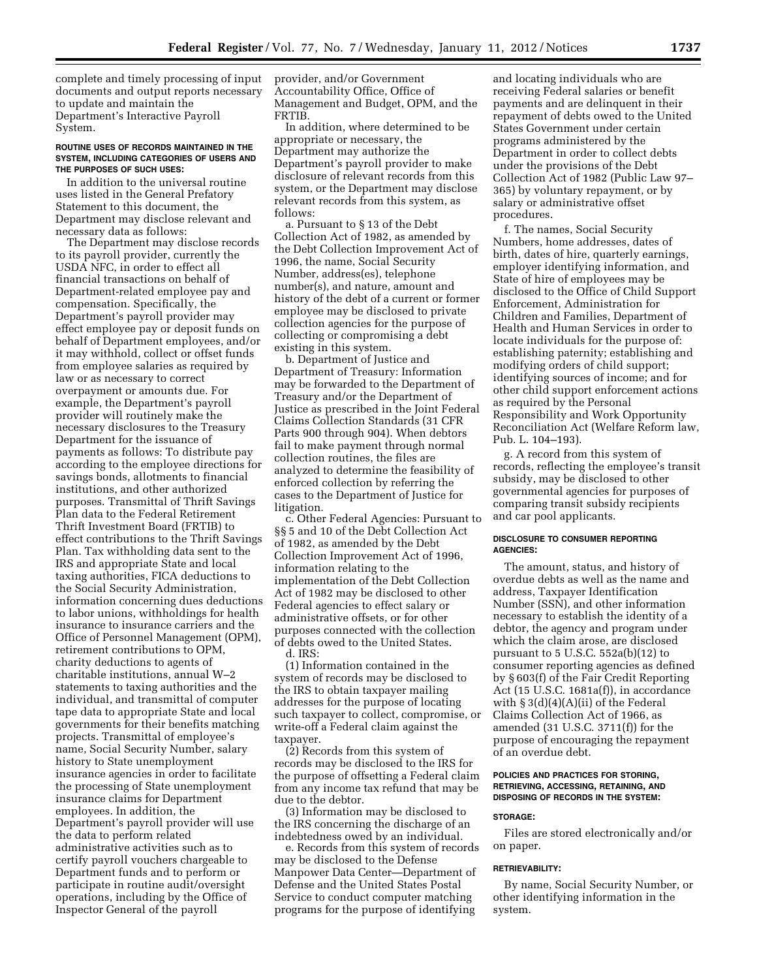complete and timely processing of input documents and output reports necessary to update and maintain the Department's Interactive Payroll System.

#### **ROUTINE USES OF RECORDS MAINTAINED IN THE SYSTEM, INCLUDING CATEGORIES OF USERS AND THE PURPOSES OF SUCH USES:**

In addition to the universal routine uses listed in the General Prefatory Statement to this document, the Department may disclose relevant and necessary data as follows:

The Department may disclose records to its payroll provider, currently the USDA NFC, in order to effect all financial transactions on behalf of Department-related employee pay and compensation. Specifically, the Department's payroll provider may effect employee pay or deposit funds on behalf of Department employees, and/or it may withhold, collect or offset funds from employee salaries as required by law or as necessary to correct overpayment or amounts due. For example, the Department's payroll provider will routinely make the necessary disclosures to the Treasury Department for the issuance of payments as follows: To distribute pay according to the employee directions for savings bonds, allotments to financial institutions, and other authorized purposes. Transmittal of Thrift Savings Plan data to the Federal Retirement Thrift Investment Board (FRTIB) to effect contributions to the Thrift Savings Plan. Tax withholding data sent to the IRS and appropriate State and local taxing authorities, FICA deductions to the Social Security Administration, information concerning dues deductions to labor unions, withholdings for health insurance to insurance carriers and the Office of Personnel Management (OPM), retirement contributions to OPM, charity deductions to agents of charitable institutions, annual W–2 statements to taxing authorities and the individual, and transmittal of computer tape data to appropriate State and local governments for their benefits matching projects. Transmittal of employee's name, Social Security Number, salary history to State unemployment insurance agencies in order to facilitate the processing of State unemployment insurance claims for Department employees. In addition, the Department's payroll provider will use the data to perform related administrative activities such as to certify payroll vouchers chargeable to Department funds and to perform or participate in routine audit/oversight operations, including by the Office of Inspector General of the payroll

provider, and/or Government Accountability Office, Office of Management and Budget, OPM, and the FRTIB.

In addition, where determined to be appropriate or necessary, the Department may authorize the Department's payroll provider to make disclosure of relevant records from this system, or the Department may disclose relevant records from this system, as follows:

a. Pursuant to § 13 of the Debt Collection Act of 1982, as amended by the Debt Collection Improvement Act of 1996, the name, Social Security Number, address(es), telephone number(s), and nature, amount and history of the debt of a current or former employee may be disclosed to private collection agencies for the purpose of collecting or compromising a debt existing in this system.

b. Department of Justice and Department of Treasury: Information may be forwarded to the Department of Treasury and/or the Department of Justice as prescribed in the Joint Federal Claims Collection Standards (31 CFR Parts 900 through 904). When debtors fail to make payment through normal collection routines, the files are analyzed to determine the feasibility of enforced collection by referring the cases to the Department of Justice for litigation.

c. Other Federal Agencies: Pursuant to §§ 5 and 10 of the Debt Collection Act of 1982, as amended by the Debt Collection Improvement Act of 1996, information relating to the implementation of the Debt Collection Act of 1982 may be disclosed to other Federal agencies to effect salary or administrative offsets, or for other purposes connected with the collection of debts owed to the United States. d. IRS:

(1) Information contained in the system of records may be disclosed to the IRS to obtain taxpayer mailing addresses for the purpose of locating such taxpayer to collect, compromise, or write-off a Federal claim against the taxpayer.

(2) Records from this system of records may be disclosed to the IRS for the purpose of offsetting a Federal claim from any income tax refund that may be due to the debtor.

(3) Information may be disclosed to the IRS concerning the discharge of an indebtedness owed by an individual.

e. Records from this system of records may be disclosed to the Defense Manpower Data Center—Department of Defense and the United States Postal Service to conduct computer matching programs for the purpose of identifying

and locating individuals who are receiving Federal salaries or benefit payments and are delinquent in their repayment of debts owed to the United States Government under certain programs administered by the Department in order to collect debts under the provisions of the Debt Collection Act of 1982 (Public Law 97– 365) by voluntary repayment, or by salary or administrative offset procedures.

f. The names, Social Security Numbers, home addresses, dates of birth, dates of hire, quarterly earnings, employer identifying information, and State of hire of employees may be disclosed to the Office of Child Support Enforcement, Administration for Children and Families, Department of Health and Human Services in order to locate individuals for the purpose of: establishing paternity; establishing and modifying orders of child support; identifying sources of income; and for other child support enforcement actions as required by the Personal Responsibility and Work Opportunity Reconciliation Act (Welfare Reform law, Pub. L. 104–193).

g. A record from this system of records, reflecting the employee's transit subsidy, may be disclosed to other governmental agencies for purposes of comparing transit subsidy recipients and car pool applicants.

### **DISCLOSURE TO CONSUMER REPORTING AGENCIES:**

The amount, status, and history of overdue debts as well as the name and address, Taxpayer Identification Number (SSN), and other information necessary to establish the identity of a debtor, the agency and program under which the claim arose, are disclosed pursuant to 5 U.S.C. 552a(b)(12) to consumer reporting agencies as defined by § 603(f) of the Fair Credit Reporting Act (15 U.S.C. 1681a(f)), in accordance with  $\S 3(d)(4)(A)(ii)$  of the Federal Claims Collection Act of 1966, as amended (31 U.S.C. 3711(f)) for the purpose of encouraging the repayment of an overdue debt.

### **POLICIES AND PRACTICES FOR STORING, RETRIEVING, ACCESSING, RETAINING, AND DISPOSING OF RECORDS IN THE SYSTEM:**

#### **STORAGE:**

Files are stored electronically and/or on paper.

### **RETRIEVABILITY:**

By name, Social Security Number, or other identifying information in the system.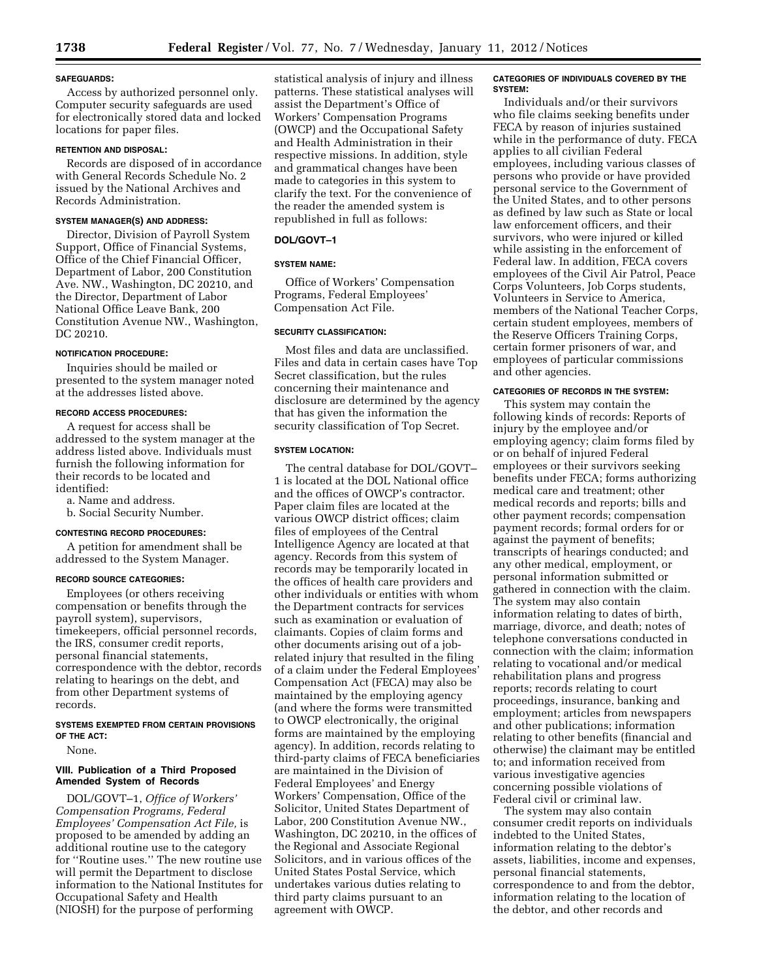### **SAFEGUARDS:**

Access by authorized personnel only. Computer security safeguards are used for electronically stored data and locked locations for paper files.

### **RETENTION AND DISPOSAL:**

Records are disposed of in accordance with General Records Schedule No. 2 issued by the National Archives and Records Administration.

### **SYSTEM MANAGER(S) AND ADDRESS:**

Director, Division of Payroll System Support, Office of Financial Systems, Office of the Chief Financial Officer, Department of Labor, 200 Constitution Ave. NW., Washington, DC 20210, and the Director, Department of Labor National Office Leave Bank, 200 Constitution Avenue NW., Washington, DC 20210.

#### **NOTIFICATION PROCEDURE:**

Inquiries should be mailed or presented to the system manager noted at the addresses listed above.

### **RECORD ACCESS PROCEDURES:**

A request for access shall be addressed to the system manager at the address listed above. Individuals must furnish the following information for their records to be located and identified:

a. Name and address.

b. Social Security Number.

### **CONTESTING RECORD PROCEDURES:**

A petition for amendment shall be addressed to the System Manager.

#### **RECORD SOURCE CATEGORIES:**

Employees (or others receiving compensation or benefits through the payroll system), supervisors, timekeepers, official personnel records, the IRS, consumer credit reports, personal financial statements, correspondence with the debtor, records relating to hearings on the debt, and from other Department systems of records.

### **SYSTEMS EXEMPTED FROM CERTAIN PROVISIONS OF THE ACT:**

None.

### **VIII. Publication of a Third Proposed Amended System of Records**

DOL/GOVT–1, *Office of Workers' Compensation Programs, Federal Employees' Compensation Act File,* is proposed to be amended by adding an additional routine use to the category for ''Routine uses.'' The new routine use will permit the Department to disclose information to the National Institutes for Occupational Safety and Health (NIOSH) for the purpose of performing

statistical analysis of injury and illness patterns. These statistical analyses will assist the Department's Office of Workers' Compensation Programs (OWCP) and the Occupational Safety and Health Administration in their respective missions. In addition, style and grammatical changes have been made to categories in this system to clarify the text. For the convenience of the reader the amended system is republished in full as follows:

#### **DOL/GOVT–1**

### **SYSTEM NAME:**

Office of Workers' Compensation Programs, Federal Employees' Compensation Act File.

### **SECURITY CLASSIFICATION:**

Most files and data are unclassified. Files and data in certain cases have Top Secret classification, but the rules concerning their maintenance and disclosure are determined by the agency that has given the information the security classification of Top Secret.

### **SYSTEM LOCATION:**

The central database for DOL/GOVT– 1 is located at the DOL National office and the offices of OWCP's contractor. Paper claim files are located at the various OWCP district offices; claim files of employees of the Central Intelligence Agency are located at that agency. Records from this system of records may be temporarily located in the offices of health care providers and other individuals or entities with whom the Department contracts for services such as examination or evaluation of claimants. Copies of claim forms and other documents arising out of a jobrelated injury that resulted in the filing of a claim under the Federal Employees' Compensation Act (FECA) may also be maintained by the employing agency (and where the forms were transmitted to OWCP electronically, the original forms are maintained by the employing agency). In addition, records relating to third-party claims of FECA beneficiaries are maintained in the Division of Federal Employees' and Energy Workers' Compensation, Office of the Solicitor, United States Department of Labor, 200 Constitution Avenue NW., Washington, DC 20210, in the offices of the Regional and Associate Regional Solicitors, and in various offices of the United States Postal Service, which undertakes various duties relating to third party claims pursuant to an agreement with OWCP.

### **CATEGORIES OF INDIVIDUALS COVERED BY THE SYSTEM:**

Individuals and/or their survivors who file claims seeking benefits under FECA by reason of injuries sustained while in the performance of duty. FECA applies to all civilian Federal employees, including various classes of persons who provide or have provided personal service to the Government of the United States, and to other persons as defined by law such as State or local law enforcement officers, and their survivors, who were injured or killed while assisting in the enforcement of Federal law. In addition, FECA covers employees of the Civil Air Patrol, Peace Corps Volunteers, Job Corps students, Volunteers in Service to America, members of the National Teacher Corps, certain student employees, members of the Reserve Officers Training Corps, certain former prisoners of war, and employees of particular commissions and other agencies.

#### **CATEGORIES OF RECORDS IN THE SYSTEM:**

This system may contain the following kinds of records: Reports of injury by the employee and/or employing agency; claim forms filed by or on behalf of injured Federal employees or their survivors seeking benefits under FECA; forms authorizing medical care and treatment; other medical records and reports; bills and other payment records; compensation payment records; formal orders for or against the payment of benefits; transcripts of hearings conducted; and any other medical, employment, or personal information submitted or gathered in connection with the claim. The system may also contain information relating to dates of birth, marriage, divorce, and death; notes of telephone conversations conducted in connection with the claim; information relating to vocational and/or medical rehabilitation plans and progress reports; records relating to court proceedings, insurance, banking and employment; articles from newspapers and other publications; information relating to other benefits (financial and otherwise) the claimant may be entitled to; and information received from various investigative agencies concerning possible violations of Federal civil or criminal law.

The system may also contain consumer credit reports on individuals indebted to the United States, information relating to the debtor's assets, liabilities, income and expenses, personal financial statements, correspondence to and from the debtor, information relating to the location of the debtor, and other records and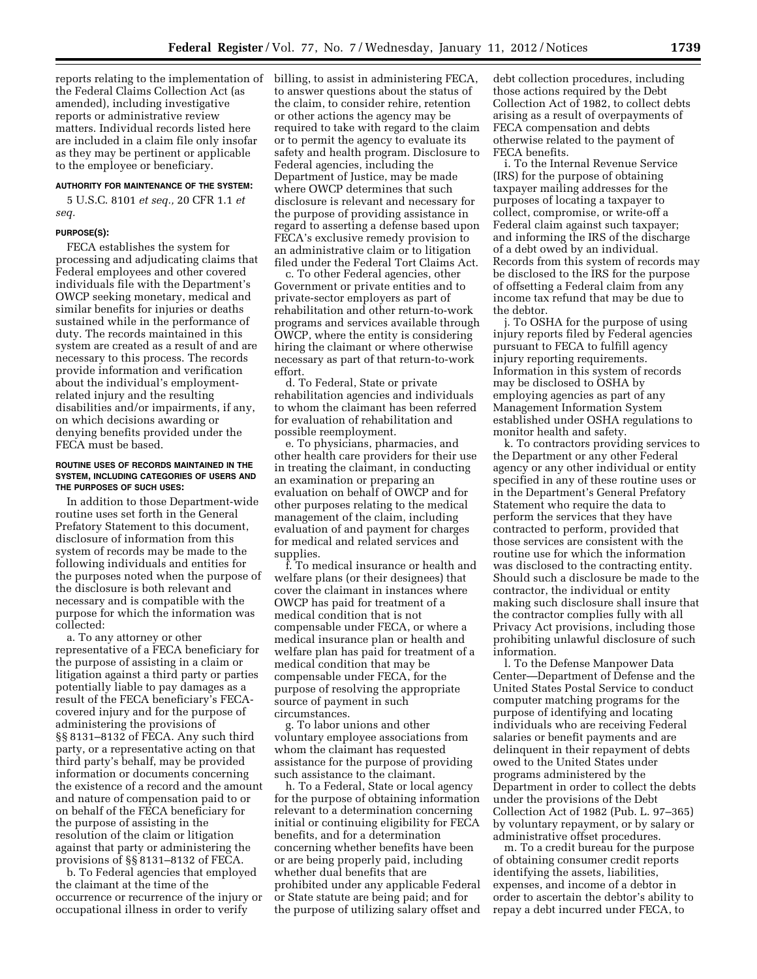reports relating to the implementation of billing, to assist in administering FECA, the Federal Claims Collection Act (as amended), including investigative reports or administrative review matters. Individual records listed here are included in a claim file only insofar as they may be pertinent or applicable to the employee or beneficiary.

### **AUTHORITY FOR MAINTENANCE OF THE SYSTEM:**

5 U.S.C. 8101 *et seq.,* 20 CFR 1.1 *et seq.* 

#### **PURPOSE(S):**

FECA establishes the system for processing and adjudicating claims that Federal employees and other covered individuals file with the Department's OWCP seeking monetary, medical and similar benefits for injuries or deaths sustained while in the performance of duty. The records maintained in this system are created as a result of and are necessary to this process. The records provide information and verification about the individual's employmentrelated injury and the resulting disabilities and/or impairments, if any, on which decisions awarding or denying benefits provided under the FECA must be based.

#### **ROUTINE USES OF RECORDS MAINTAINED IN THE SYSTEM, INCLUDING CATEGORIES OF USERS AND THE PURPOSES OF SUCH USES:**

In addition to those Department-wide routine uses set forth in the General Prefatory Statement to this document, disclosure of information from this system of records may be made to the following individuals and entities for the purposes noted when the purpose of the disclosure is both relevant and necessary and is compatible with the purpose for which the information was collected:

a. To any attorney or other representative of a FECA beneficiary for the purpose of assisting in a claim or litigation against a third party or parties potentially liable to pay damages as a result of the FECA beneficiary's FECAcovered injury and for the purpose of administering the provisions of §§ 8131–8132 of FECA. Any such third party, or a representative acting on that third party's behalf, may be provided information or documents concerning the existence of a record and the amount and nature of compensation paid to or on behalf of the FECA beneficiary for the purpose of assisting in the resolution of the claim or litigation against that party or administering the provisions of §§ 8131–8132 of FECA.

b. To Federal agencies that employed the claimant at the time of the occurrence or recurrence of the injury or occupational illness in order to verify

to answer questions about the status of the claim, to consider rehire, retention or other actions the agency may be required to take with regard to the claim or to permit the agency to evaluate its safety and health program. Disclosure to Federal agencies, including the Department of Justice, may be made where OWCP determines that such disclosure is relevant and necessary for the purpose of providing assistance in regard to asserting a defense based upon FECA's exclusive remedy provision to an administrative claim or to litigation filed under the Federal Tort Claims Act.

c. To other Federal agencies, other Government or private entities and to private-sector employers as part of rehabilitation and other return-to-work programs and services available through OWCP, where the entity is considering hiring the claimant or where otherwise necessary as part of that return-to-work effort.

d. To Federal, State or private rehabilitation agencies and individuals to whom the claimant has been referred for evaluation of rehabilitation and possible reemployment.

e. To physicians, pharmacies, and other health care providers for their use in treating the claimant, in conducting an examination or preparing an evaluation on behalf of OWCP and for other purposes relating to the medical management of the claim, including evaluation of and payment for charges for medical and related services and supplies.

f. To medical insurance or health and welfare plans (or their designees) that cover the claimant in instances where OWCP has paid for treatment of a medical condition that is not compensable under FECA, or where a medical insurance plan or health and welfare plan has paid for treatment of a medical condition that may be compensable under FECA, for the purpose of resolving the appropriate source of payment in such circumstances.

g. To labor unions and other voluntary employee associations from whom the claimant has requested assistance for the purpose of providing such assistance to the claimant.

h. To a Federal, State or local agency for the purpose of obtaining information relevant to a determination concerning initial or continuing eligibility for FECA benefits, and for a determination concerning whether benefits have been or are being properly paid, including whether dual benefits that are prohibited under any applicable Federal or State statute are being paid; and for the purpose of utilizing salary offset and

debt collection procedures, including those actions required by the Debt Collection Act of 1982, to collect debts arising as a result of overpayments of FECA compensation and debts otherwise related to the payment of FECA benefits.

i. To the Internal Revenue Service (IRS) for the purpose of obtaining taxpayer mailing addresses for the purposes of locating a taxpayer to collect, compromise, or write-off a Federal claim against such taxpayer; and informing the IRS of the discharge of a debt owed by an individual. Records from this system of records may be disclosed to the IRS for the purpose of offsetting a Federal claim from any income tax refund that may be due to the debtor.

j. To OSHA for the purpose of using injury reports filed by Federal agencies pursuant to FECA to fulfill agency injury reporting requirements. Information in this system of records may be disclosed to OSHA by employing agencies as part of any Management Information System established under OSHA regulations to monitor health and safety.

k. To contractors providing services to the Department or any other Federal agency or any other individual or entity specified in any of these routine uses or in the Department's General Prefatory Statement who require the data to perform the services that they have contracted to perform, provided that those services are consistent with the routine use for which the information was disclosed to the contracting entity. Should such a disclosure be made to the contractor, the individual or entity making such disclosure shall insure that the contractor complies fully with all Privacy Act provisions, including those prohibiting unlawful disclosure of such information.

l. To the Defense Manpower Data Center—Department of Defense and the United States Postal Service to conduct computer matching programs for the purpose of identifying and locating individuals who are receiving Federal salaries or benefit payments and are delinquent in their repayment of debts owed to the United States under programs administered by the Department in order to collect the debts under the provisions of the Debt Collection Act of 1982 (Pub. L. 97–365) by voluntary repayment, or by salary or administrative offset procedures.

m. To a credit bureau for the purpose of obtaining consumer credit reports identifying the assets, liabilities, expenses, and income of a debtor in order to ascertain the debtor's ability to repay a debt incurred under FECA, to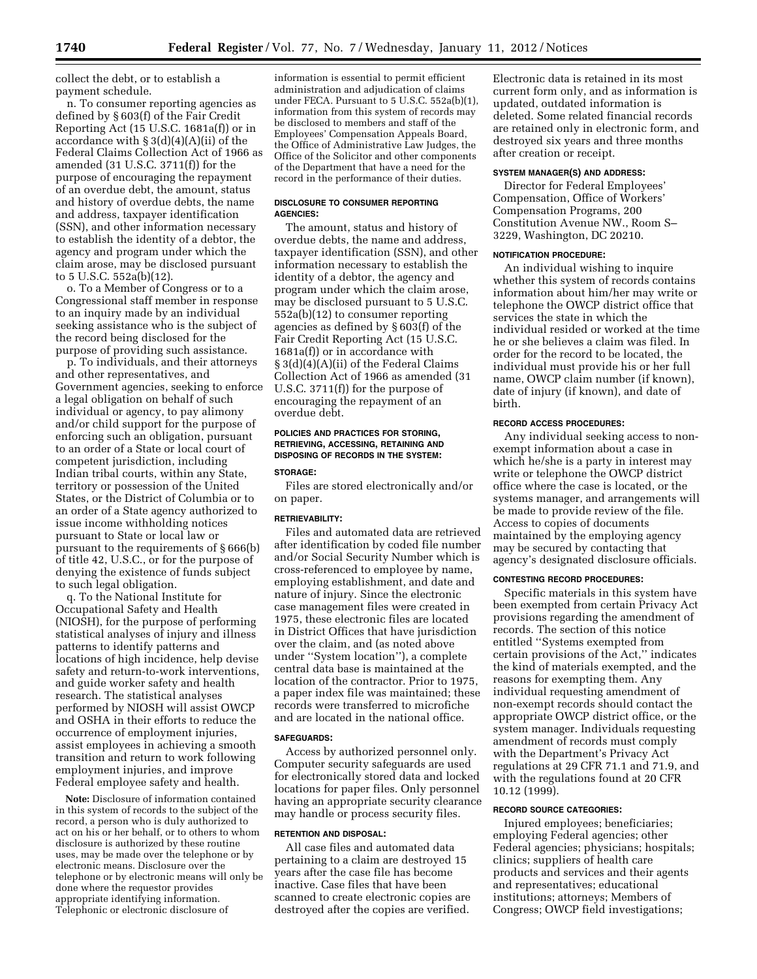collect the debt, or to establish a payment schedule.

n. To consumer reporting agencies as defined by § 603(f) of the Fair Credit Reporting Act (15 U.S.C. 1681a(f)) or in accordance with § 3(d)(4)(A)(ii) of the Federal Claims Collection Act of 1966 as amended (31 U.S.C. 3711(f)) for the purpose of encouraging the repayment of an overdue debt, the amount, status and history of overdue debts, the name and address, taxpayer identification (SSN), and other information necessary to establish the identity of a debtor, the agency and program under which the claim arose, may be disclosed pursuant to 5 U.S.C. 552a(b)(12).

o. To a Member of Congress or to a Congressional staff member in response to an inquiry made by an individual seeking assistance who is the subject of the record being disclosed for the purpose of providing such assistance.

p. To individuals, and their attorneys and other representatives, and Government agencies, seeking to enforce a legal obligation on behalf of such individual or agency, to pay alimony and/or child support for the purpose of enforcing such an obligation, pursuant to an order of a State or local court of competent jurisdiction, including Indian tribal courts, within any State, territory or possession of the United States, or the District of Columbia or to an order of a State agency authorized to issue income withholding notices pursuant to State or local law or pursuant to the requirements of § 666(b) of title 42, U.S.C., or for the purpose of denying the existence of funds subject to such legal obligation.

q. To the National Institute for Occupational Safety and Health (NIOSH), for the purpose of performing statistical analyses of injury and illness patterns to identify patterns and locations of high incidence, help devise safety and return-to-work interventions, and guide worker safety and health research. The statistical analyses performed by NIOSH will assist OWCP and OSHA in their efforts to reduce the occurrence of employment injuries, assist employees in achieving a smooth transition and return to work following employment injuries, and improve Federal employee safety and health.

**Note:** Disclosure of information contained in this system of records to the subject of the record, a person who is duly authorized to act on his or her behalf, or to others to whom disclosure is authorized by these routine uses, may be made over the telephone or by electronic means. Disclosure over the telephone or by electronic means will only be done where the requestor provides appropriate identifying information. Telephonic or electronic disclosure of

information is essential to permit efficient administration and adjudication of claims under FECA. Pursuant to 5 U.S.C. 552a(b)(1), information from this system of records may be disclosed to members and staff of the Employees' Compensation Appeals Board, the Office of Administrative Law Judges, the Office of the Solicitor and other components of the Department that have a need for the record in the performance of their duties.

### **DISCLOSURE TO CONSUMER REPORTING AGENCIES:**

The amount, status and history of overdue debts, the name and address, taxpayer identification (SSN), and other information necessary to establish the identity of a debtor, the agency and program under which the claim arose, may be disclosed pursuant to 5 U.S.C. 552a(b)(12) to consumer reporting agencies as defined by § 603(f) of the Fair Credit Reporting Act (15 U.S.C. 1681a(f)) or in accordance with § 3(d)(4)(A)(ii) of the Federal Claims Collection Act of 1966 as amended (31 U.S.C. 3711(f)) for the purpose of encouraging the repayment of an overdue debt.

### **POLICIES AND PRACTICES FOR STORING, RETRIEVING, ACCESSING, RETAINING AND DISPOSING OF RECORDS IN THE SYSTEM:**

#### **STORAGE:**

Files are stored electronically and/or on paper.

### **RETRIEVABILITY:**

Files and automated data are retrieved after identification by coded file number and/or Social Security Number which is cross-referenced to employee by name, employing establishment, and date and nature of injury. Since the electronic case management files were created in 1975, these electronic files are located in District Offices that have jurisdiction over the claim, and (as noted above under ''System location''), a complete central data base is maintained at the location of the contractor. Prior to 1975, a paper index file was maintained; these records were transferred to microfiche and are located in the national office.

#### **SAFEGUARDS:**

Access by authorized personnel only. Computer security safeguards are used for electronically stored data and locked locations for paper files. Only personnel having an appropriate security clearance may handle or process security files.

### **RETENTION AND DISPOSAL:**

All case files and automated data pertaining to a claim are destroyed 15 years after the case file has become inactive. Case files that have been scanned to create electronic copies are destroyed after the copies are verified.

Electronic data is retained in its most current form only, and as information is updated, outdated information is deleted. Some related financial records are retained only in electronic form, and destroyed six years and three months after creation or receipt.

#### **SYSTEM MANAGER(S) AND ADDRESS:**

Director for Federal Employees' Compensation, Office of Workers' Compensation Programs, 200 Constitution Avenue NW., Room S– 3229, Washington, DC 20210.

#### **NOTIFICATION PROCEDURE:**

An individual wishing to inquire whether this system of records contains information about him/her may write or telephone the OWCP district office that services the state in which the individual resided or worked at the time he or she believes a claim was filed. In order for the record to be located, the individual must provide his or her full name, OWCP claim number (if known), date of injury (if known), and date of birth.

#### **RECORD ACCESS PROCEDURES:**

Any individual seeking access to nonexempt information about a case in which he/she is a party in interest may write or telephone the OWCP district office where the case is located, or the systems manager, and arrangements will be made to provide review of the file. Access to copies of documents maintained by the employing agency may be secured by contacting that agency's designated disclosure officials.

#### **CONTESTING RECORD PROCEDURES:**

Specific materials in this system have been exempted from certain Privacy Act provisions regarding the amendment of records. The section of this notice entitled ''Systems exempted from certain provisions of the Act,'' indicates the kind of materials exempted, and the reasons for exempting them. Any individual requesting amendment of non-exempt records should contact the appropriate OWCP district office, or the system manager. Individuals requesting amendment of records must comply with the Department's Privacy Act regulations at 29 CFR 71.1 and 71.9, and with the regulations found at 20 CFR 10.12 (1999).

### **RECORD SOURCE CATEGORIES:**

Injured employees; beneficiaries; employing Federal agencies; other Federal agencies; physicians; hospitals; clinics; suppliers of health care products and services and their agents and representatives; educational institutions; attorneys; Members of Congress; OWCP field investigations;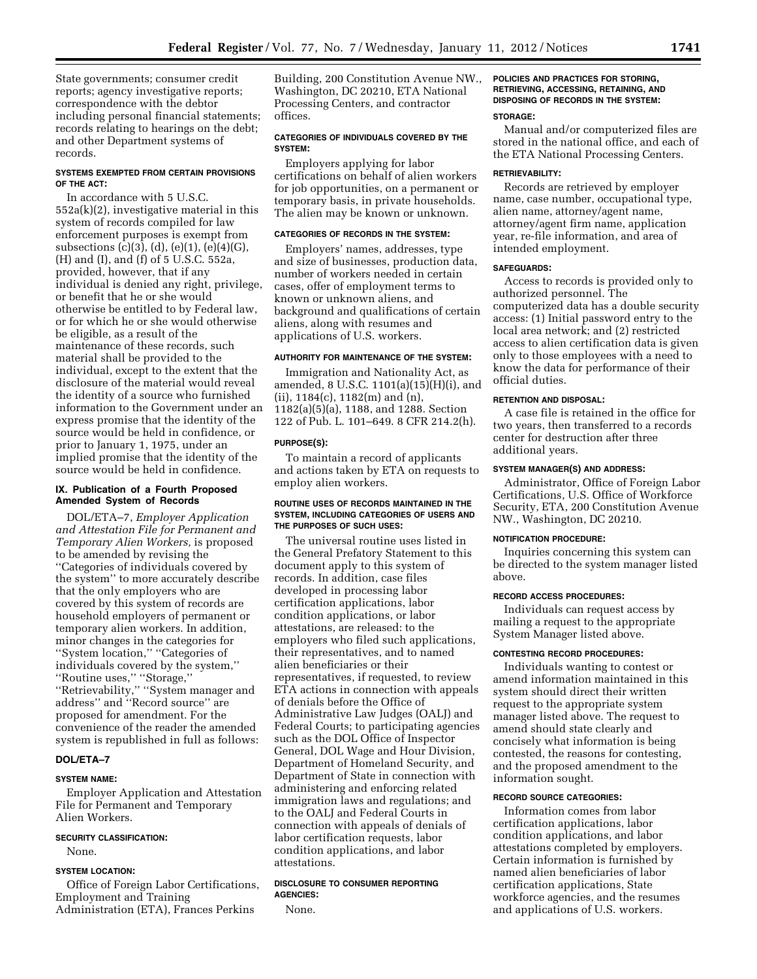State governments; consumer credit reports; agency investigative reports; correspondence with the debtor including personal financial statements; records relating to hearings on the debt; and other Department systems of records.

### **SYSTEMS EXEMPTED FROM CERTAIN PROVISIONS OF THE ACT:**

In accordance with 5 U.S.C. 552a(k)(2), investigative material in this system of records compiled for law enforcement purposes is exempt from subsections (c)(3), (d), (e)(1), (e)(4)(G), (H) and (I), and (f) of 5 U.S.C. 552a, provided, however, that if any individual is denied any right, privilege, or benefit that he or she would otherwise be entitled to by Federal law, or for which he or she would otherwise be eligible, as a result of the maintenance of these records, such material shall be provided to the individual, except to the extent that the disclosure of the material would reveal the identity of a source who furnished information to the Government under an express promise that the identity of the source would be held in confidence, or prior to January 1, 1975, under an implied promise that the identity of the source would be held in confidence.

### **IX. Publication of a Fourth Proposed Amended System of Records**

DOL/ETA–7, *Employer Application and Attestation File for Permanent and Temporary Alien Workers,* is proposed to be amended by revising the ''Categories of individuals covered by the system'' to more accurately describe that the only employers who are covered by this system of records are household employers of permanent or temporary alien workers. In addition, minor changes in the categories for ''System location,'' ''Categories of individuals covered by the system,'' ''Routine uses,'' ''Storage,'' ''Retrievability,'' ''System manager and address'' and ''Record source'' are proposed for amendment. For the convenience of the reader the amended system is republished in full as follows:

### **DOL/ETA–7**

#### **SYSTEM NAME:**

Employer Application and Attestation File for Permanent and Temporary Alien Workers.

#### **SECURITY CLASSIFICATION:**

None.

### **SYSTEM LOCATION:**

Office of Foreign Labor Certifications, Employment and Training Administration (ETA), Frances Perkins

Building, 200 Constitution Avenue NW., Washington, DC 20210, ETA National Processing Centers, and contractor offices.

### **CATEGORIES OF INDIVIDUALS COVERED BY THE SYSTEM:**

Employers applying for labor certifications on behalf of alien workers for job opportunities, on a permanent or temporary basis, in private households. The alien may be known or unknown.

### **CATEGORIES OF RECORDS IN THE SYSTEM:**

Employers' names, addresses, type and size of businesses, production data, number of workers needed in certain cases, offer of employment terms to known or unknown aliens, and background and qualifications of certain aliens, along with resumes and applications of U.S. workers.

#### **AUTHORITY FOR MAINTENANCE OF THE SYSTEM:**

Immigration and Nationality Act, as amended, 8 U.S.C. 1101(a)(15)(H)(i), and (ii), 1184(c), 1182(m) and (n), 1182(a)(5)(a), 1188, and 1288. Section 122 of Pub. L. 101–649. 8 CFR 214.2(h).

#### **PURPOSE(S):**

To maintain a record of applicants and actions taken by ETA on requests to employ alien workers.

#### **ROUTINE USES OF RECORDS MAINTAINED IN THE SYSTEM, INCLUDING CATEGORIES OF USERS AND THE PURPOSES OF SUCH USES:**

The universal routine uses listed in the General Prefatory Statement to this document apply to this system of records. In addition, case files developed in processing labor certification applications, labor condition applications, or labor attestations, are released: to the employers who filed such applications, their representatives, and to named alien beneficiaries or their representatives, if requested, to review ETA actions in connection with appeals of denials before the Office of Administrative Law Judges (OALJ) and Federal Courts; to participating agencies such as the DOL Office of Inspector General, DOL Wage and Hour Division, Department of Homeland Security, and Department of State in connection with administering and enforcing related immigration laws and regulations; and to the OALJ and Federal Courts in connection with appeals of denials of labor certification requests, labor condition applications, and labor attestations.

### **DISCLOSURE TO CONSUMER REPORTING AGENCIES:**

None.

## **POLICIES AND PRACTICES FOR STORING, RETRIEVING, ACCESSING, RETAINING, AND DISPOSING OF RECORDS IN THE SYSTEM:**

### **STORAGE:**

Manual and/or computerized files are stored in the national office, and each of the ETA National Processing Centers.

#### **RETRIEVABILITY:**

Records are retrieved by employer name, case number, occupational type, alien name, attorney/agent name, attorney/agent firm name, application year, re-file information, and area of intended employment.

#### **SAFEGUARDS:**

Access to records is provided only to authorized personnel. The computerized data has a double security access: (1) Initial password entry to the local area network; and (2) restricted access to alien certification data is given only to those employees with a need to know the data for performance of their official duties.

### **RETENTION AND DISPOSAL:**

A case file is retained in the office for two years, then transferred to a records center for destruction after three additional years.

### **SYSTEM MANAGER(S) AND ADDRESS:**

Administrator, Office of Foreign Labor Certifications, U.S. Office of Workforce Security, ETA, 200 Constitution Avenue NW., Washington, DC 20210.

#### **NOTIFICATION PROCEDURE:**

Inquiries concerning this system can be directed to the system manager listed above.

### **RECORD ACCESS PROCEDURES:**

Individuals can request access by mailing a request to the appropriate System Manager listed above.

### **CONTESTING RECORD PROCEDURES:**

Individuals wanting to contest or amend information maintained in this system should direct their written request to the appropriate system manager listed above. The request to amend should state clearly and concisely what information is being contested, the reasons for contesting, and the proposed amendment to the information sought.

#### **RECORD SOURCE CATEGORIES:**

Information comes from labor certification applications, labor condition applications, and labor attestations completed by employers. Certain information is furnished by named alien beneficiaries of labor certification applications, State workforce agencies, and the resumes and applications of U.S. workers.